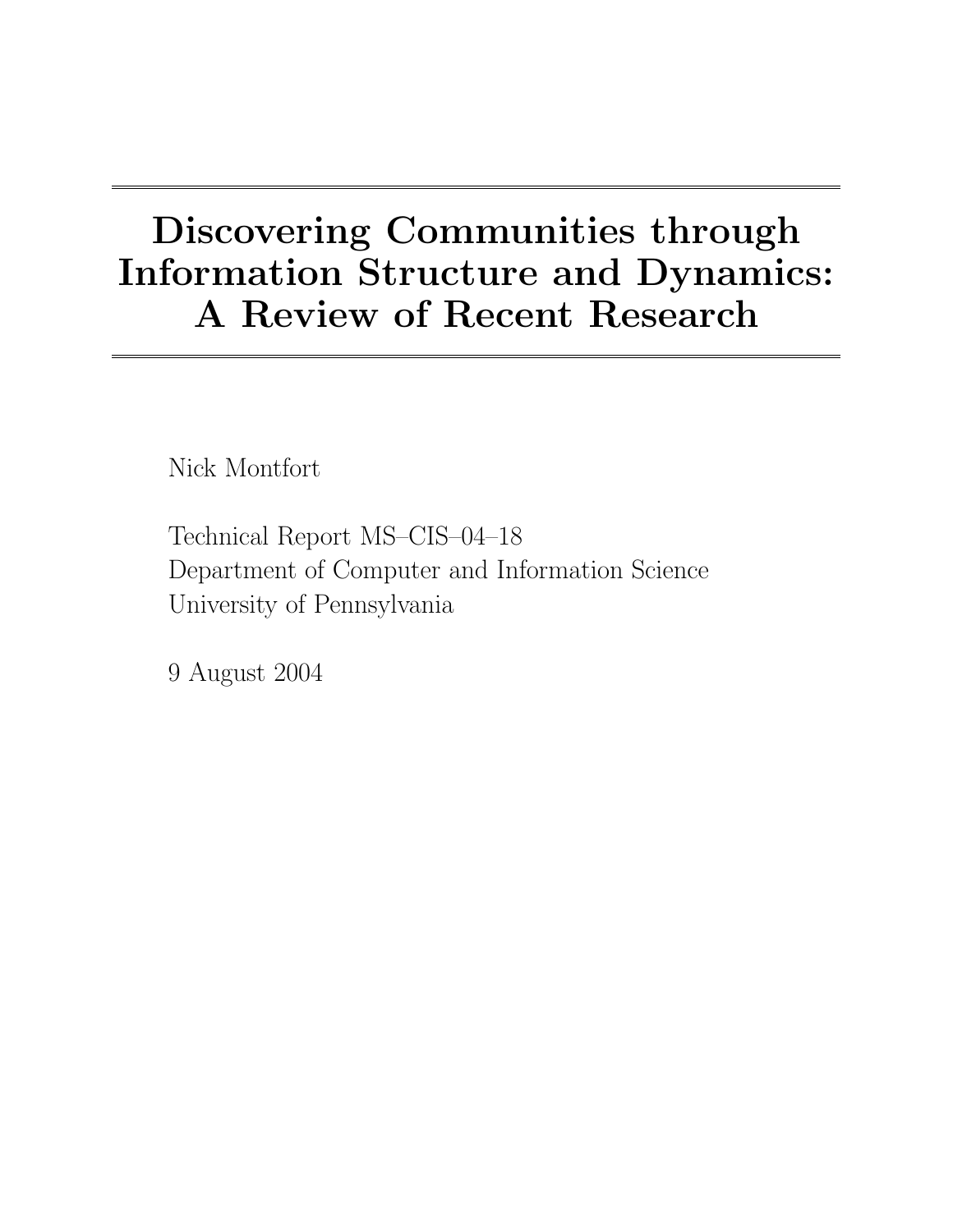# Discovering Communities through Information Structure and Dynamics: A Review of Recent Research

Nick Montfort

Technical Report MS–CIS–04–18 Department of Computer and Information Science University of Pennsylvania

9 August 2004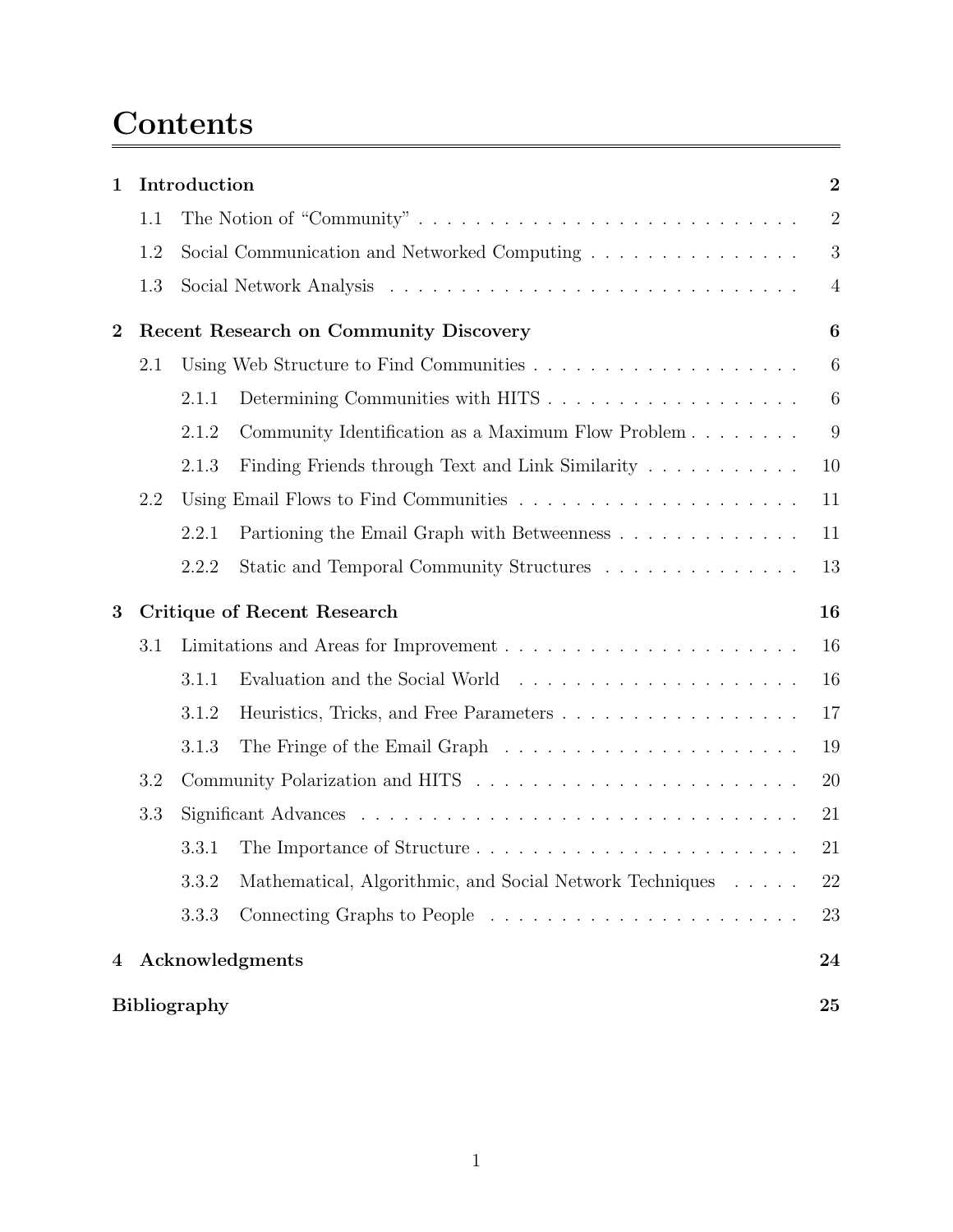## Contents

| $\mathbf 1$    | Introduction                                  |       |                                                          | $\overline{2}$   |
|----------------|-----------------------------------------------|-------|----------------------------------------------------------|------------------|
|                | 1.1                                           |       |                                                          | $\overline{2}$   |
|                | 1.2                                           |       | Social Communication and Networked Computing             | 3                |
|                | 1.3                                           |       |                                                          | $\overline{4}$   |
| $\overline{2}$ | <b>Recent Research on Community Discovery</b> |       |                                                          | $\boldsymbol{6}$ |
|                | 2.1                                           |       |                                                          | $6\phantom{.}6$  |
|                |                                               | 2.1.1 |                                                          | 6                |
|                |                                               | 2.1.2 | Community Identification as a Maximum Flow Problem       | 9                |
|                |                                               | 2.1.3 | Finding Friends through Text and Link Similarity         | 10               |
|                | 2.2                                           |       |                                                          | 11               |
|                |                                               | 2.2.1 | Partioning the Email Graph with Betweenness              | 11               |
|                |                                               | 2.2.2 | Static and Temporal Community Structures                 | 13               |
| 3              | <b>Critique of Recent Research</b>            |       |                                                          | 16               |
|                | 3.1                                           |       |                                                          | 16               |
|                |                                               | 3.1.1 |                                                          | 16               |
|                |                                               | 3.1.2 | Heuristics, Tricks, and Free Parameters                  | 17               |
|                |                                               | 3.1.3 |                                                          | 19               |
|                | 3.2                                           |       |                                                          | 20               |
|                | 3.3                                           |       |                                                          | 21               |
|                |                                               | 3.3.1 |                                                          | 21               |
|                |                                               | 3.3.2 | Mathematical, Algorithmic, and Social Network Techniques | 22               |
|                |                                               |       |                                                          |                  |
|                |                                               | 3.3.3 |                                                          | 23               |
| $\overline{4}$ |                                               |       | Acknowledgments                                          | 24               |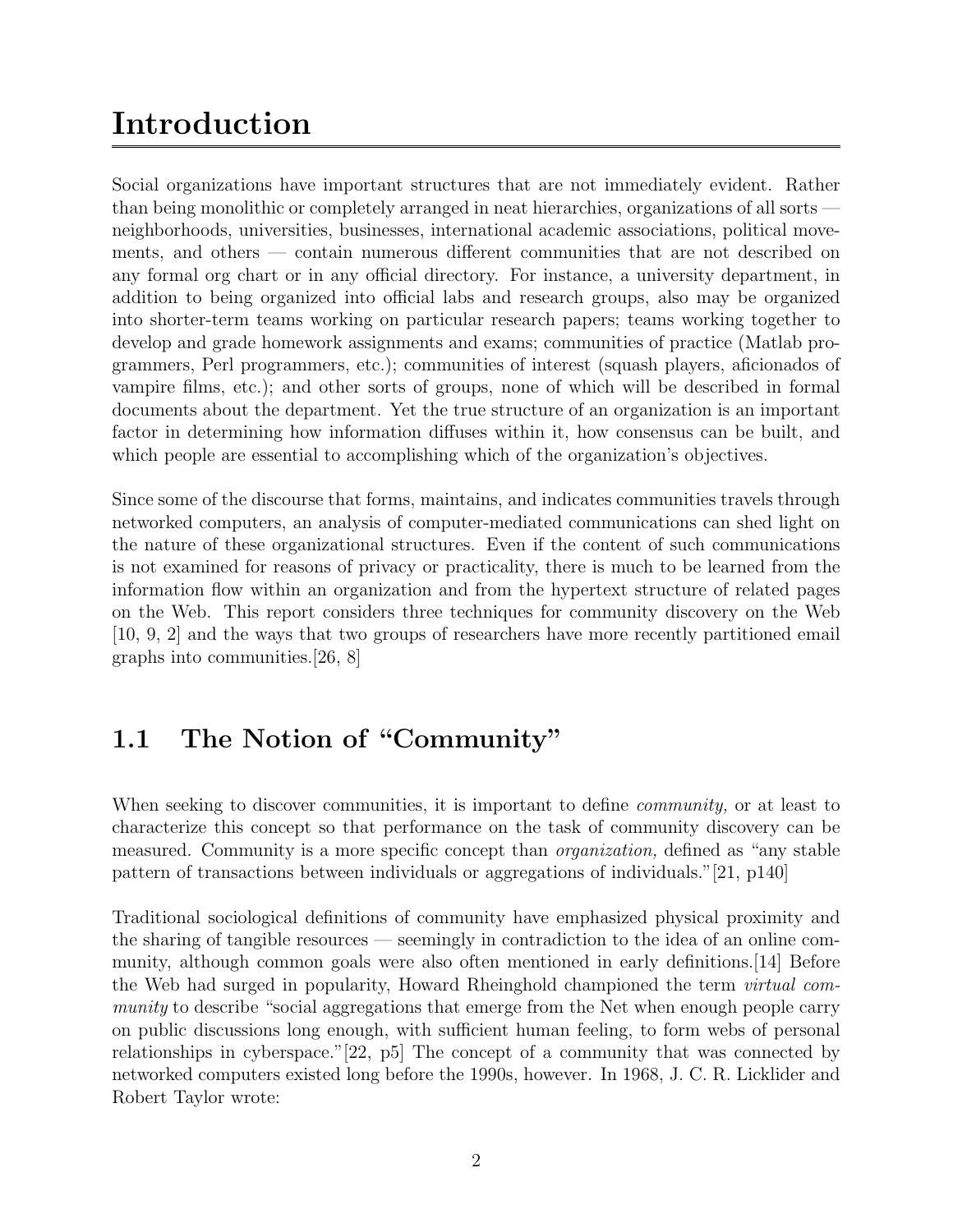## Introduction

Social organizations have important structures that are not immediately evident. Rather than being monolithic or completely arranged in neat hierarchies, organizations of all sorts neighborhoods, universities, businesses, international academic associations, political movements, and others — contain numerous different communities that are not described on any formal org chart or in any official directory. For instance, a university department, in addition to being organized into official labs and research groups, also may be organized into shorter-term teams working on particular research papers; teams working together to develop and grade homework assignments and exams; communities of practice (Matlab programmers, Perl programmers, etc.); communities of interest (squash players, aficionados of vampire films, etc.); and other sorts of groups, none of which will be described in formal documents about the department. Yet the true structure of an organization is an important factor in determining how information diffuses within it, how consensus can be built, and which people are essential to accomplishing which of the organization's objectives.

Since some of the discourse that forms, maintains, and indicates communities travels through networked computers, an analysis of computer-mediated communications can shed light on the nature of these organizational structures. Even if the content of such communications is not examined for reasons of privacy or practicality, there is much to be learned from the information flow within an organization and from the hypertext structure of related pages on the Web. This report considers three techniques for community discovery on the Web [10, 9, 2] and the ways that two groups of researchers have more recently partitioned email graphs into communities.[26, 8]

## 1.1 The Notion of "Community"

When seeking to discover communities, it is important to define *community*, or at least to characterize this concept so that performance on the task of community discovery can be measured. Community is a more specific concept than organization, defined as "any stable pattern of transactions between individuals or aggregations of individuals."[21, p140]

Traditional sociological definitions of community have emphasized physical proximity and the sharing of tangible resources — seemingly in contradiction to the idea of an online community, although common goals were also often mentioned in early definitions.[14] Before the Web had surged in popularity, Howard Rheinghold championed the term virtual community to describe "social aggregations that emerge from the Net when enough people carry on public discussions long enough, with sufficient human feeling, to form webs of personal relationships in cyberspace."[22, p5] The concept of a community that was connected by networked computers existed long before the 1990s, however. In 1968, J. C. R. Licklider and Robert Taylor wrote: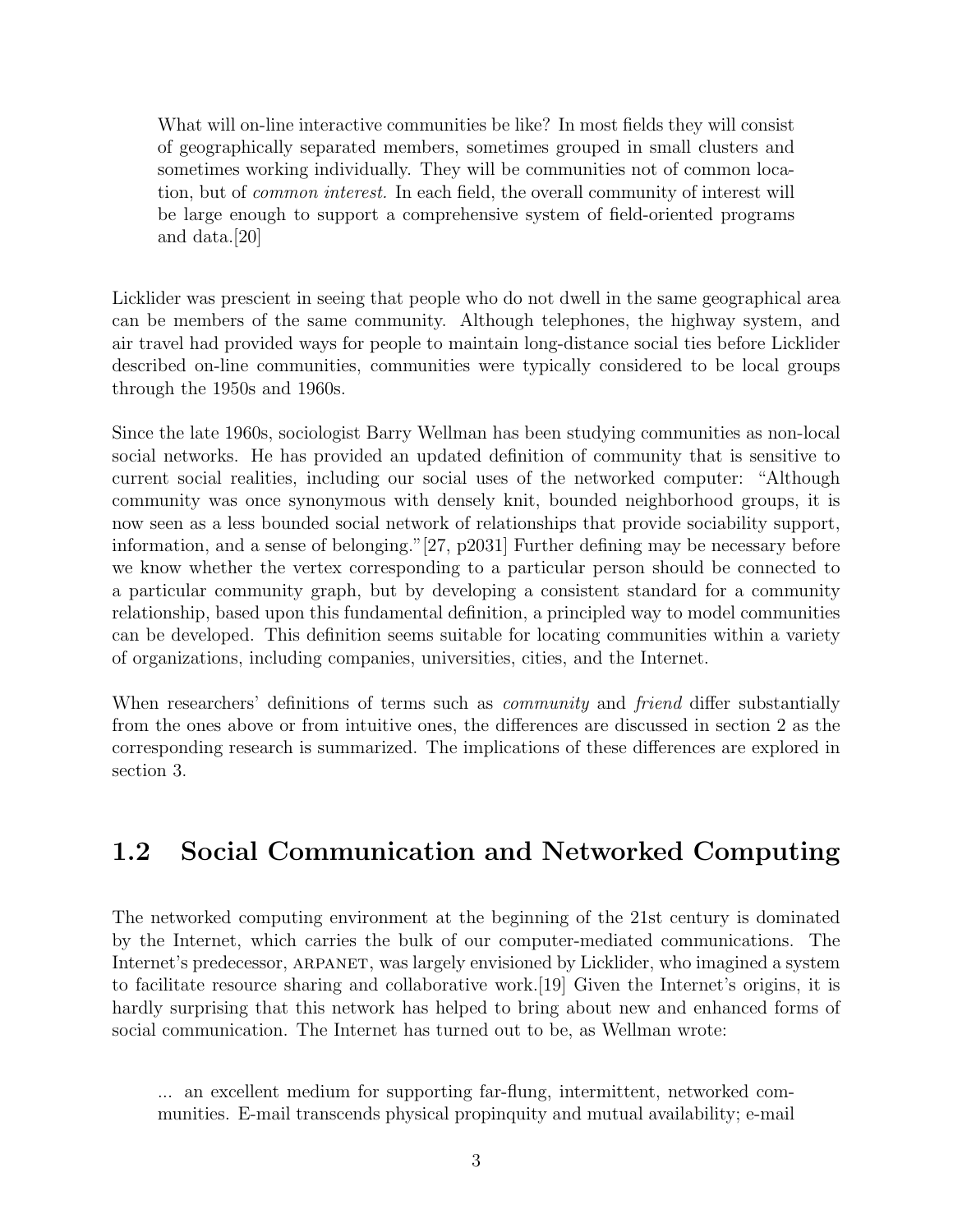What will on-line interactive communities be like? In most fields they will consist of geographically separated members, sometimes grouped in small clusters and sometimes working individually. They will be communities not of common location, but of common interest. In each field, the overall community of interest will be large enough to support a comprehensive system of field-oriented programs and data.[20]

Licklider was prescient in seeing that people who do not dwell in the same geographical area can be members of the same community. Although telephones, the highway system, and air travel had provided ways for people to maintain long-distance social ties before Licklider described on-line communities, communities were typically considered to be local groups through the 1950s and 1960s.

Since the late 1960s, sociologist Barry Wellman has been studying communities as non-local social networks. He has provided an updated definition of community that is sensitive to current social realities, including our social uses of the networked computer: "Although community was once synonymous with densely knit, bounded neighborhood groups, it is now seen as a less bounded social network of relationships that provide sociability support, information, and a sense of belonging."[27, p2031] Further defining may be necessary before we know whether the vertex corresponding to a particular person should be connected to a particular community graph, but by developing a consistent standard for a community relationship, based upon this fundamental definition, a principled way to model communities can be developed. This definition seems suitable for locating communities within a variety of organizations, including companies, universities, cities, and the Internet.

When researchers' definitions of terms such as *community* and *friend* differ substantially from the ones above or from intuitive ones, the differences are discussed in section 2 as the corresponding research is summarized. The implications of these differences are explored in section 3.

### 1.2 Social Communication and Networked Computing

The networked computing environment at the beginning of the 21st century is dominated by the Internet, which carries the bulk of our computer-mediated communications. The Internet's predecessor, arpanet, was largely envisioned by Licklider, who imagined a system to facilitate resource sharing and collaborative work.[19] Given the Internet's origins, it is hardly surprising that this network has helped to bring about new and enhanced forms of social communication. The Internet has turned out to be, as Wellman wrote:

... an excellent medium for supporting far-flung, intermittent, networked communities. E-mail transcends physical propinquity and mutual availability; e-mail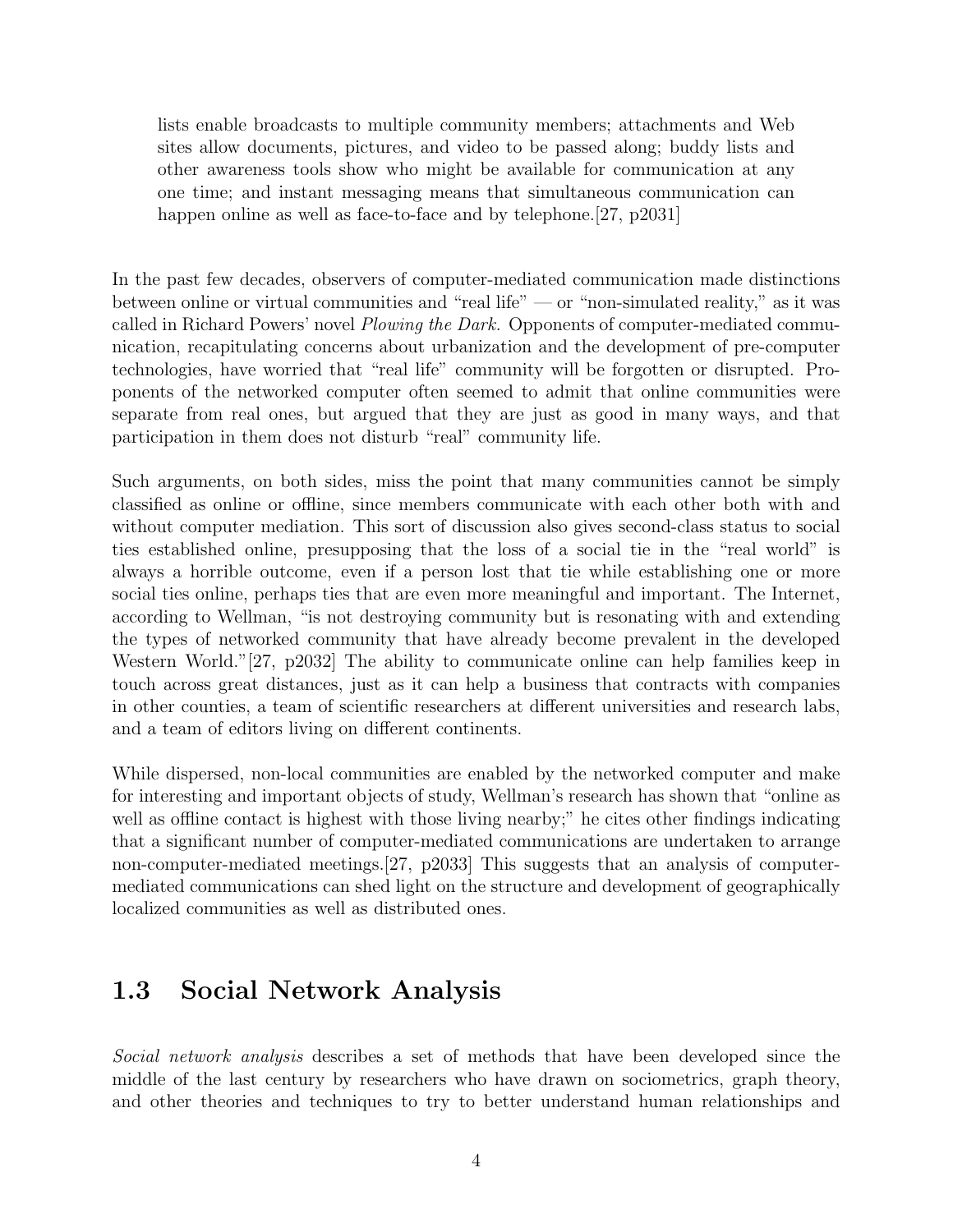lists enable broadcasts to multiple community members; attachments and Web sites allow documents, pictures, and video to be passed along; buddy lists and other awareness tools show who might be available for communication at any one time; and instant messaging means that simultaneous communication can happen online as well as face-to-face and by telephone. [27, p2031]

In the past few decades, observers of computer-mediated communication made distinctions between online or virtual communities and "real life" — or "non-simulated reality," as it was called in Richard Powers' novel *Plowing the Dark.* Opponents of computer-mediated communication, recapitulating concerns about urbanization and the development of pre-computer technologies, have worried that "real life" community will be forgotten or disrupted. Proponents of the networked computer often seemed to admit that online communities were separate from real ones, but argued that they are just as good in many ways, and that participation in them does not disturb "real" community life.

Such arguments, on both sides, miss the point that many communities cannot be simply classified as online or offline, since members communicate with each other both with and without computer mediation. This sort of discussion also gives second-class status to social ties established online, presupposing that the loss of a social tie in the "real world" is always a horrible outcome, even if a person lost that tie while establishing one or more social ties online, perhaps ties that are even more meaningful and important. The Internet, according to Wellman, "is not destroying community but is resonating with and extending the types of networked community that have already become prevalent in the developed Western World."[27, p2032] The ability to communicate online can help families keep in touch across great distances, just as it can help a business that contracts with companies in other counties, a team of scientific researchers at different universities and research labs, and a team of editors living on different continents.

While dispersed, non-local communities are enabled by the networked computer and make for interesting and important objects of study, Wellman's research has shown that "online as well as offline contact is highest with those living nearby;" he cites other findings indicating that a significant number of computer-mediated communications are undertaken to arrange non-computer-mediated meetings.[27, p2033] This suggests that an analysis of computermediated communications can shed light on the structure and development of geographically localized communities as well as distributed ones.

### 1.3 Social Network Analysis

Social network analysis describes a set of methods that have been developed since the middle of the last century by researchers who have drawn on sociometrics, graph theory, and other theories and techniques to try to better understand human relationships and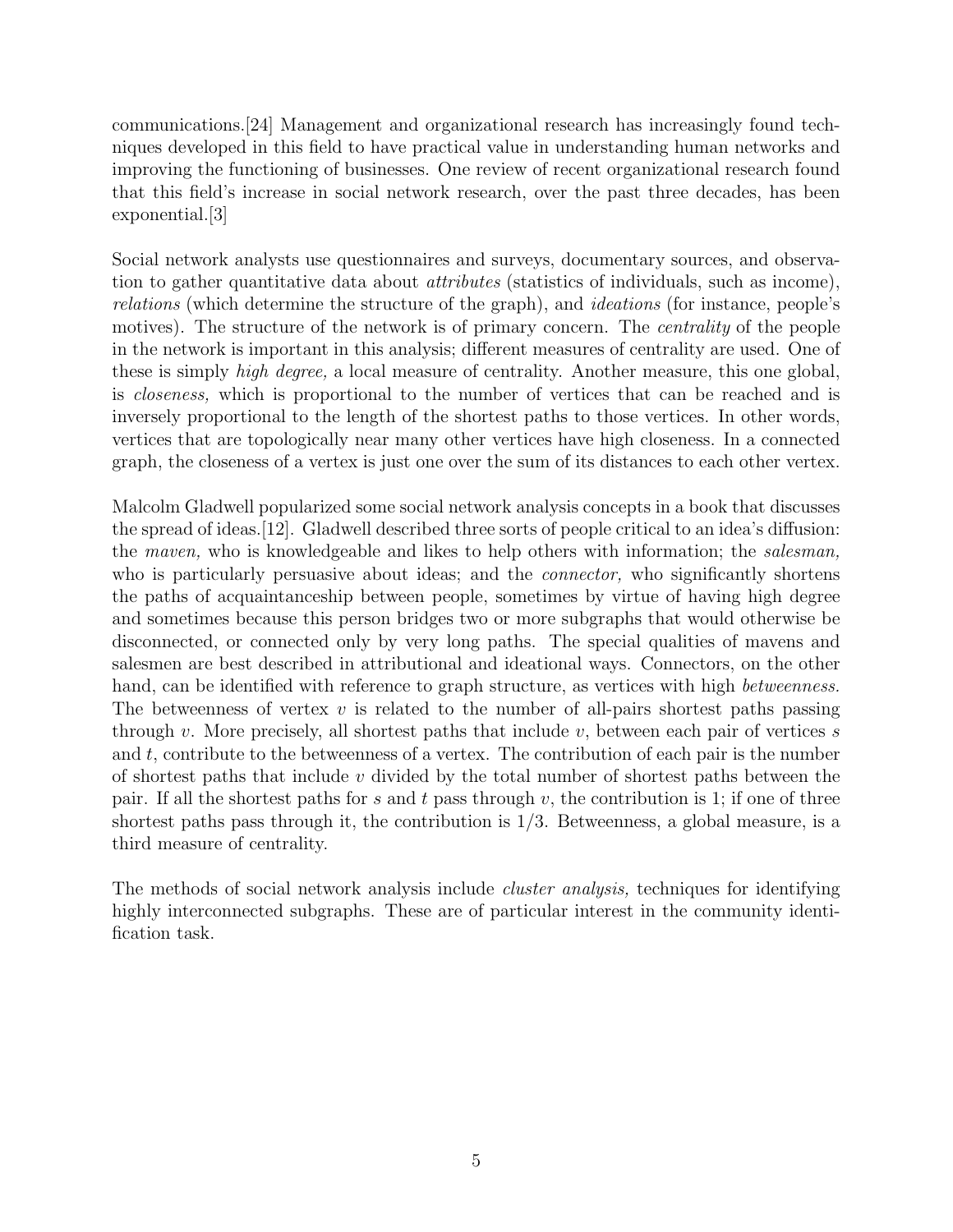communications.[24] Management and organizational research has increasingly found techniques developed in this field to have practical value in understanding human networks and improving the functioning of businesses. One review of recent organizational research found that this field's increase in social network research, over the past three decades, has been exponential.[3]

Social network analysts use questionnaires and surveys, documentary sources, and observation to gather quantitative data about attributes (statistics of individuals, such as income), relations (which determine the structure of the graph), and ideations (for instance, people's motives). The structure of the network is of primary concern. The *centrality* of the people in the network is important in this analysis; different measures of centrality are used. One of these is simply high degree, a local measure of centrality. Another measure, this one global, is closeness, which is proportional to the number of vertices that can be reached and is inversely proportional to the length of the shortest paths to those vertices. In other words, vertices that are topologically near many other vertices have high closeness. In a connected graph, the closeness of a vertex is just one over the sum of its distances to each other vertex.

Malcolm Gladwell popularized some social network analysis concepts in a book that discusses the spread of ideas.[12]. Gladwell described three sorts of people critical to an idea's diffusion: the *maven*, who is knowledgeable and likes to help others with information; the *salesman*, who is particularly persuasive about ideas; and the *connector*, who significantly shortens the paths of acquaintanceship between people, sometimes by virtue of having high degree and sometimes because this person bridges two or more subgraphs that would otherwise be disconnected, or connected only by very long paths. The special qualities of mavens and salesmen are best described in attributional and ideational ways. Connectors, on the other hand, can be identified with reference to graph structure, as vertices with high *betweenness*. The betweenness of vertex  $v$  is related to the number of all-pairs shortest paths passing through v. More precisely, all shortest paths that include  $v$ , between each pair of vertices s and  $t$ , contribute to the betweenness of a vertex. The contribution of each pair is the number of shortest paths that include  $v$  divided by the total number of shortest paths between the pair. If all the shortest paths for s and t pass through v, the contribution is 1; if one of three shortest paths pass through it, the contribution is  $1/3$ . Betweenness, a global measure, is a third measure of centrality.

The methods of social network analysis include *cluster analysis*, techniques for identifying highly interconnected subgraphs. These are of particular interest in the community identification task.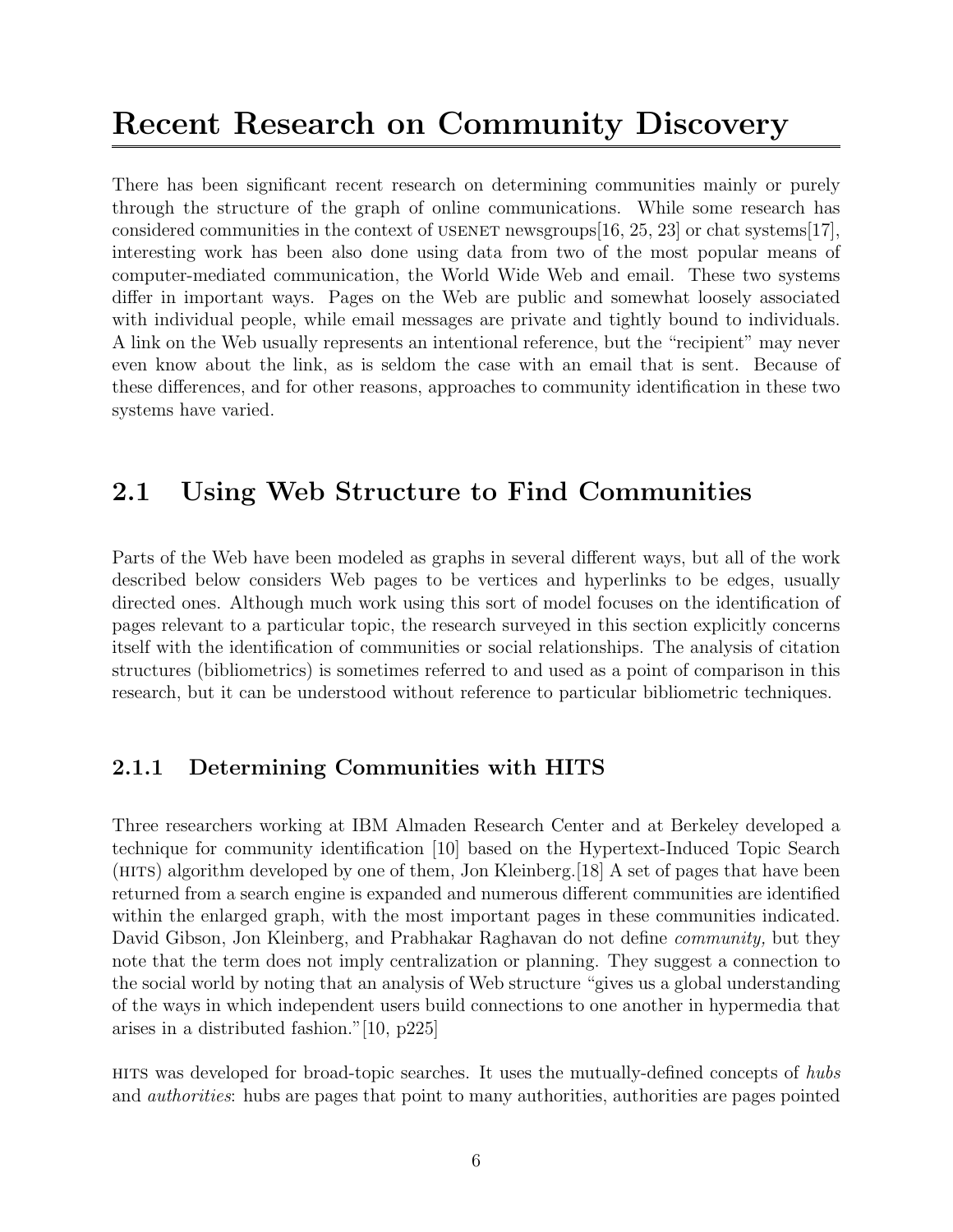## Recent Research on Community Discovery

There has been significant recent research on determining communities mainly or purely through the structure of the graph of online communications. While some research has considered communities in the context of USENET newsgroups [16, 25, 23] or chat systems [17], interesting work has been also done using data from two of the most popular means of computer-mediated communication, the World Wide Web and email. These two systems differ in important ways. Pages on the Web are public and somewhat loosely associated with individual people, while email messages are private and tightly bound to individuals. A link on the Web usually represents an intentional reference, but the "recipient" may never even know about the link, as is seldom the case with an email that is sent. Because of these differences, and for other reasons, approaches to community identification in these two systems have varied.

## 2.1 Using Web Structure to Find Communities

Parts of the Web have been modeled as graphs in several different ways, but all of the work described below considers Web pages to be vertices and hyperlinks to be edges, usually directed ones. Although much work using this sort of model focuses on the identification of pages relevant to a particular topic, the research surveyed in this section explicitly concerns itself with the identification of communities or social relationships. The analysis of citation structures (bibliometrics) is sometimes referred to and used as a point of comparison in this research, but it can be understood without reference to particular bibliometric techniques.

### 2.1.1 Determining Communities with HITS

Three researchers working at IBM Almaden Research Center and at Berkeley developed a technique for community identification [10] based on the Hypertext-Induced Topic Search (hits) algorithm developed by one of them, Jon Kleinberg.[18] A set of pages that have been returned from a search engine is expanded and numerous different communities are identified within the enlarged graph, with the most important pages in these communities indicated. David Gibson, Jon Kleinberg, and Prabhakar Raghavan do not define *community*, but they note that the term does not imply centralization or planning. They suggest a connection to the social world by noting that an analysis of Web structure "gives us a global understanding of the ways in which independent users build connections to one another in hypermedia that arises in a distributed fashion."[10, p225]

hits was developed for broad-topic searches. It uses the mutually-defined concepts of hubs and authorities: hubs are pages that point to many authorities, authorities are pages pointed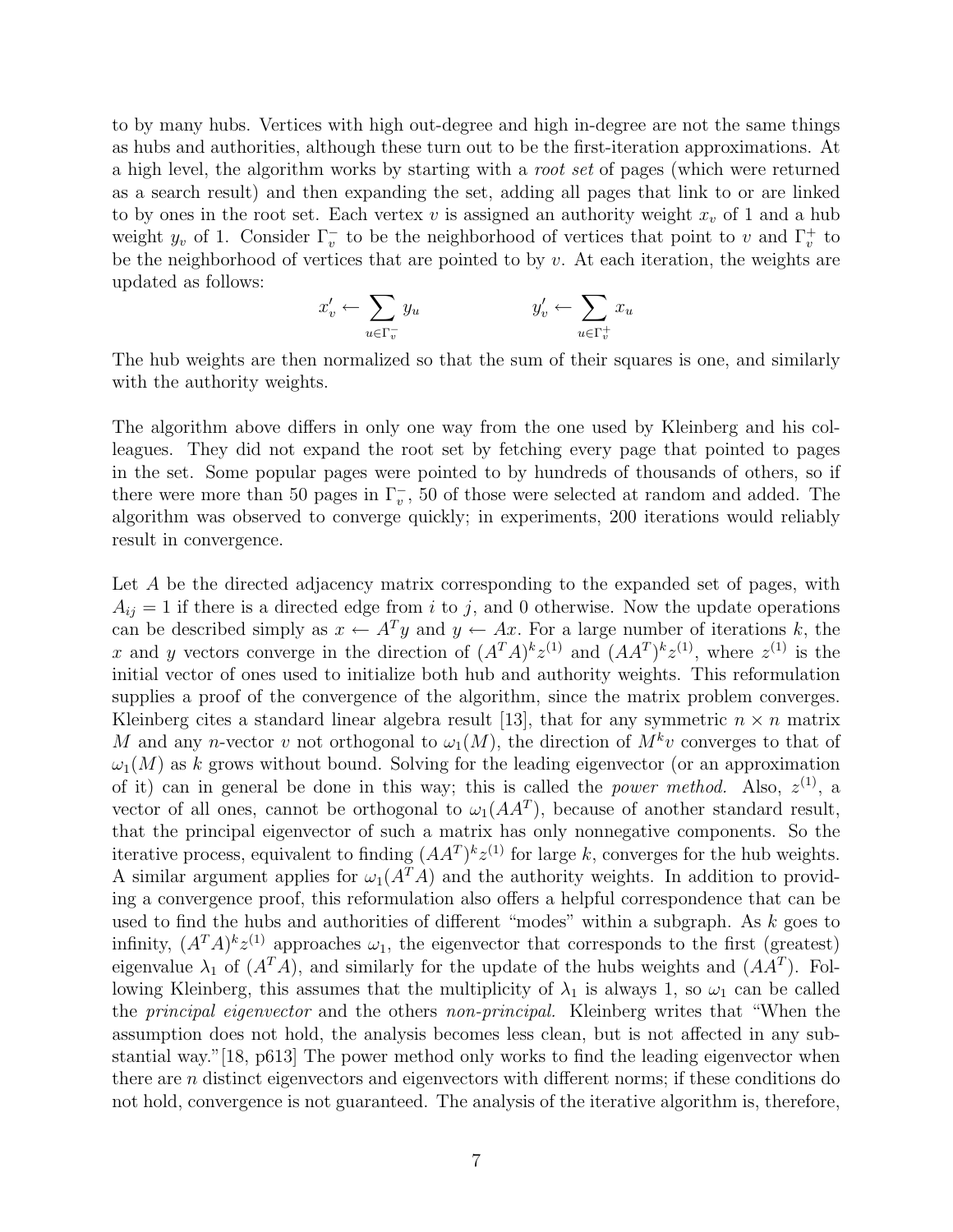to by many hubs. Vertices with high out-degree and high in-degree are not the same things as hubs and authorities, although these turn out to be the first-iteration approximations. At a high level, the algorithm works by starting with a root set of pages (which were returned as a search result) and then expanding the set, adding all pages that link to or are linked to by ones in the root set. Each vertex v is assigned an authority weight  $x<sub>v</sub>$  of 1 and a hub weight  $y_v$  of 1. Consider  $\Gamma_v^-$  to be the neighborhood of vertices that point to v and  $\Gamma_v^+$  to be the neighborhood of vertices that are pointed to by  $v$ . At each iteration, the weights are updated as follows:

$$
x'_{v} \leftarrow \sum_{u \in \Gamma_{v}^{-}} y_{u} \qquad \qquad y'_{v} \leftarrow \sum_{u \in \Gamma_{v}^{+}} x_{u}
$$

The hub weights are then normalized so that the sum of their squares is one, and similarly with the authority weights.

The algorithm above differs in only one way from the one used by Kleinberg and his colleagues. They did not expand the root set by fetching every page that pointed to pages in the set. Some popular pages were pointed to by hundreds of thousands of others, so if there were more than 50 pages in  $\Gamma_v^{\text{-}}$ , 50 of those were selected at random and added. The algorithm was observed to converge quickly; in experiments, 200 iterations would reliably result in convergence.

Let A be the directed adjacency matrix corresponding to the expanded set of pages, with  $A_{ij} = 1$  if there is a directed edge from i to j, and 0 otherwise. Now the update operations can be described simply as  $x \leftarrow A^{T}y$  and  $y \leftarrow Ax$ . For a large number of iterations k, the x and y vectors converge in the direction of  $(A^T A)^k z^{(1)}$  and  $(A A^T)^k z^{(1)}$ , where  $z^{(1)}$  is the initial vector of ones used to initialize both hub and authority weights. This reformulation supplies a proof of the convergence of the algorithm, since the matrix problem converges. Kleinberg cites a standard linear algebra result [13], that for any symmetric  $n \times n$  matrix M and any n-vector v not orthogonal to  $\omega_1(M)$ , the direction of  $M^k v$  converges to that of  $\omega_1(M)$  as k grows without bound. Solving for the leading eigenvector (or an approximation of it) can in general be done in this way; this is called the *power method.* Also,  $z^{(1)}$ , a vector of all ones, cannot be orthogonal to  $\omega_1(AA^T)$ , because of another standard result, that the principal eigenvector of such a matrix has only nonnegative components. So the iterative process, equivalent to finding  $(AA<sup>T</sup>)<sup>k</sup>z<sup>(1)</sup>$  for large k, converges for the hub weights. A similar argument applies for  $\omega_1(A^T A)$  and the authority weights. In addition to providing a convergence proof, this reformulation also offers a helpful correspondence that can be used to find the hubs and authorities of different "modes" within a subgraph. As k goes to infinity,  $(A^T A)^k z^{(1)}$  approaches  $\omega_1$ , the eigenvector that corresponds to the first (greatest) eigenvalue  $\lambda_1$  of  $(A^T A)$ , and similarly for the update of the hubs weights and  $(A A^T)$ . Following Kleinberg, this assumes that the multiplicity of  $\lambda_1$  is always 1, so  $\omega_1$  can be called the principal eigenvector and the others non-principal. Kleinberg writes that "When the assumption does not hold, the analysis becomes less clean, but is not affected in any substantial way."[18, p613] The power method only works to find the leading eigenvector when there are n distinct eigenvectors and eigenvectors with different norms; if these conditions do not hold, convergence is not guaranteed. The analysis of the iterative algorithm is, therefore,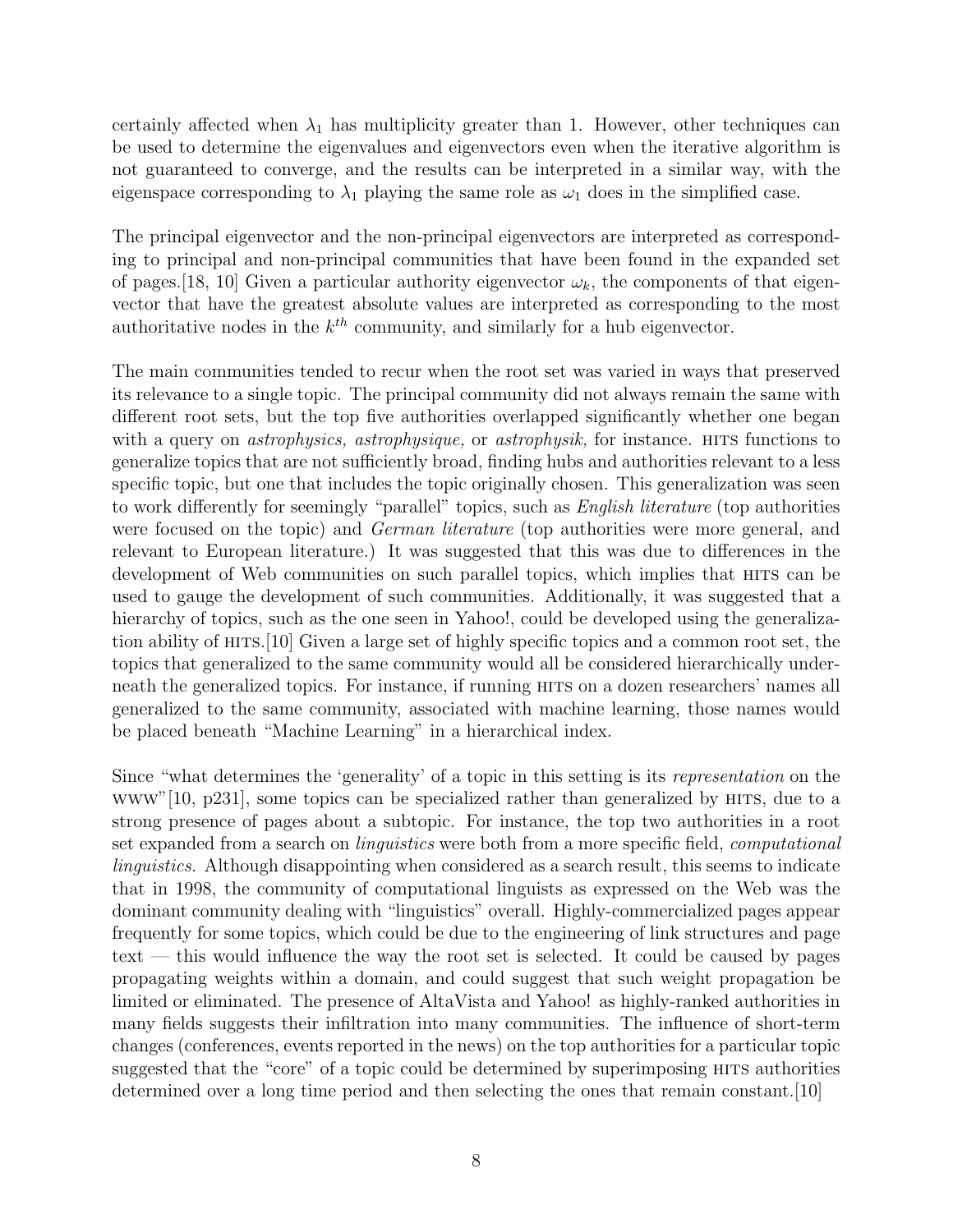certainly affected when  $\lambda_1$  has multiplicity greater than 1. However, other techniques can be used to determine the eigenvalues and eigenvectors even when the iterative algorithm is not guaranteed to converge, and the results can be interpreted in a similar way, with the eigenspace corresponding to  $\lambda_1$  playing the same role as  $\omega_1$  does in the simplified case.

The principal eigenvector and the non-principal eigenvectors are interpreted as corresponding to principal and non-principal communities that have been found in the expanded set of pages. [18, 10] Given a particular authority eigenvector  $\omega_k$ , the components of that eigenvector that have the greatest absolute values are interpreted as corresponding to the most authoritative nodes in the  $k^{th}$  community, and similarly for a hub eigenvector.

The main communities tended to recur when the root set was varied in ways that preserved its relevance to a single topic. The principal community did not always remain the same with different root sets, but the top five authorities overlapped significantly whether one began with a query on *astrophysics*, *astrophysique*, or *astrophysik*, for instance. HITS functions to generalize topics that are not sufficiently broad, finding hubs and authorities relevant to a less specific topic, but one that includes the topic originally chosen. This generalization was seen to work differently for seemingly "parallel" topics, such as English literature (top authorities were focused on the topic) and *German literature* (top authorities were more general, and relevant to European literature.) It was suggested that this was due to differences in the development of Web communities on such parallel topics, which implies that hits can be used to gauge the development of such communities. Additionally, it was suggested that a hierarchy of topics, such as the one seen in Yahoo!, could be developed using the generalization ability of hits.[10] Given a large set of highly specific topics and a common root set, the topics that generalized to the same community would all be considered hierarchically underneath the generalized topics. For instance, if running hits on a dozen researchers' names all generalized to the same community, associated with machine learning, those names would be placed beneath "Machine Learning" in a hierarchical index.

Since "what determines the 'generality' of a topic in this setting is its representation on the www"[10, p231], some topics can be specialized rather than generalized by hits, due to a strong presence of pages about a subtopic. For instance, the top two authorities in a root set expanded from a search on linguistics were both from a more specific field, computational linguistics. Although disappointing when considered as a search result, this seems to indicate that in 1998, the community of computational linguists as expressed on the Web was the dominant community dealing with "linguistics" overall. Highly-commercialized pages appear frequently for some topics, which could be due to the engineering of link structures and page text — this would influence the way the root set is selected. It could be caused by pages propagating weights within a domain, and could suggest that such weight propagation be limited or eliminated. The presence of AltaVista and Yahoo! as highly-ranked authorities in many fields suggests their infiltration into many communities. The influence of short-term changes (conferences, events reported in the news) on the top authorities for a particular topic suggested that the "core" of a topic could be determined by superimposing hits authorities determined over a long time period and then selecting the ones that remain constant.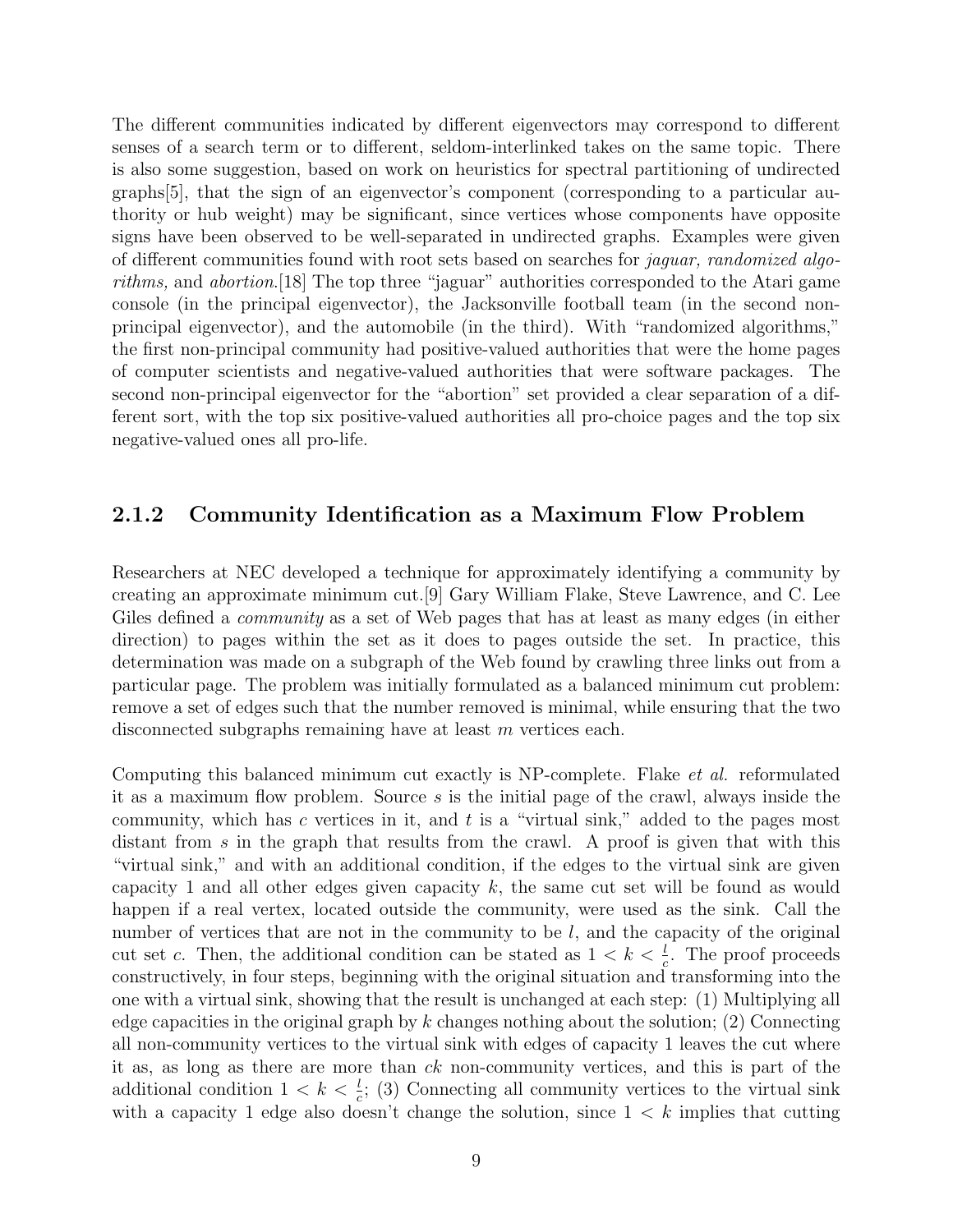The different communities indicated by different eigenvectors may correspond to different senses of a search term or to different, seldom-interlinked takes on the same topic. There is also some suggestion, based on work on heuristics for spectral partitioning of undirected graphs[5], that the sign of an eigenvector's component (corresponding to a particular authority or hub weight) may be significant, since vertices whose components have opposite signs have been observed to be well-separated in undirected graphs. Examples were given of different communities found with root sets based on searches for jaguar, randomized algorithms, and abortion.[18] The top three "jaguar" authorities corresponded to the Atari game console (in the principal eigenvector), the Jacksonville football team (in the second nonprincipal eigenvector), and the automobile (in the third). With "randomized algorithms," the first non-principal community had positive-valued authorities that were the home pages of computer scientists and negative-valued authorities that were software packages. The second non-principal eigenvector for the "abortion" set provided a clear separation of a different sort, with the top six positive-valued authorities all pro-choice pages and the top six negative-valued ones all pro-life.

#### 2.1.2 Community Identification as a Maximum Flow Problem

Researchers at NEC developed a technique for approximately identifying a community by creating an approximate minimum cut.[9] Gary William Flake, Steve Lawrence, and C. Lee Giles defined a *community* as a set of Web pages that has at least as many edges (in either direction) to pages within the set as it does to pages outside the set. In practice, this determination was made on a subgraph of the Web found by crawling three links out from a particular page. The problem was initially formulated as a balanced minimum cut problem: remove a set of edges such that the number removed is minimal, while ensuring that the two disconnected subgraphs remaining have at least m vertices each.

Computing this balanced minimum cut exactly is NP-complete. Flake et al. reformulated it as a maximum flow problem. Source  $s$  is the initial page of the crawl, always inside the community, which has  $c$  vertices in it, and  $t$  is a "virtual sink," added to the pages most distant from s in the graph that results from the crawl. A proof is given that with this "virtual sink," and with an additional condition, if the edges to the virtual sink are given capacity 1 and all other edges given capacity  $k$ , the same cut set will be found as would happen if a real vertex, located outside the community, were used as the sink. Call the number of vertices that are not in the community to be  $l$ , and the capacity of the original cut set c. Then, the additional condition can be stated as  $1 < k < \frac{l}{c}$ . The proof proceeds constructively, in four steps, beginning with the original situation and transforming into the one with a virtual sink, showing that the result is unchanged at each step: (1) Multiplying all edge capacities in the original graph by  $k$  changes nothing about the solution; (2) Connecting all non-community vertices to the virtual sink with edges of capacity 1 leaves the cut where it as, as long as there are more than ck non-community vertices, and this is part of the additional condition  $1 < k < \frac{l}{c}$ ; (3) Connecting all community vertices to the virtual sink with a capacity 1 edge also doesn't change the solution, since  $1 < k$  implies that cutting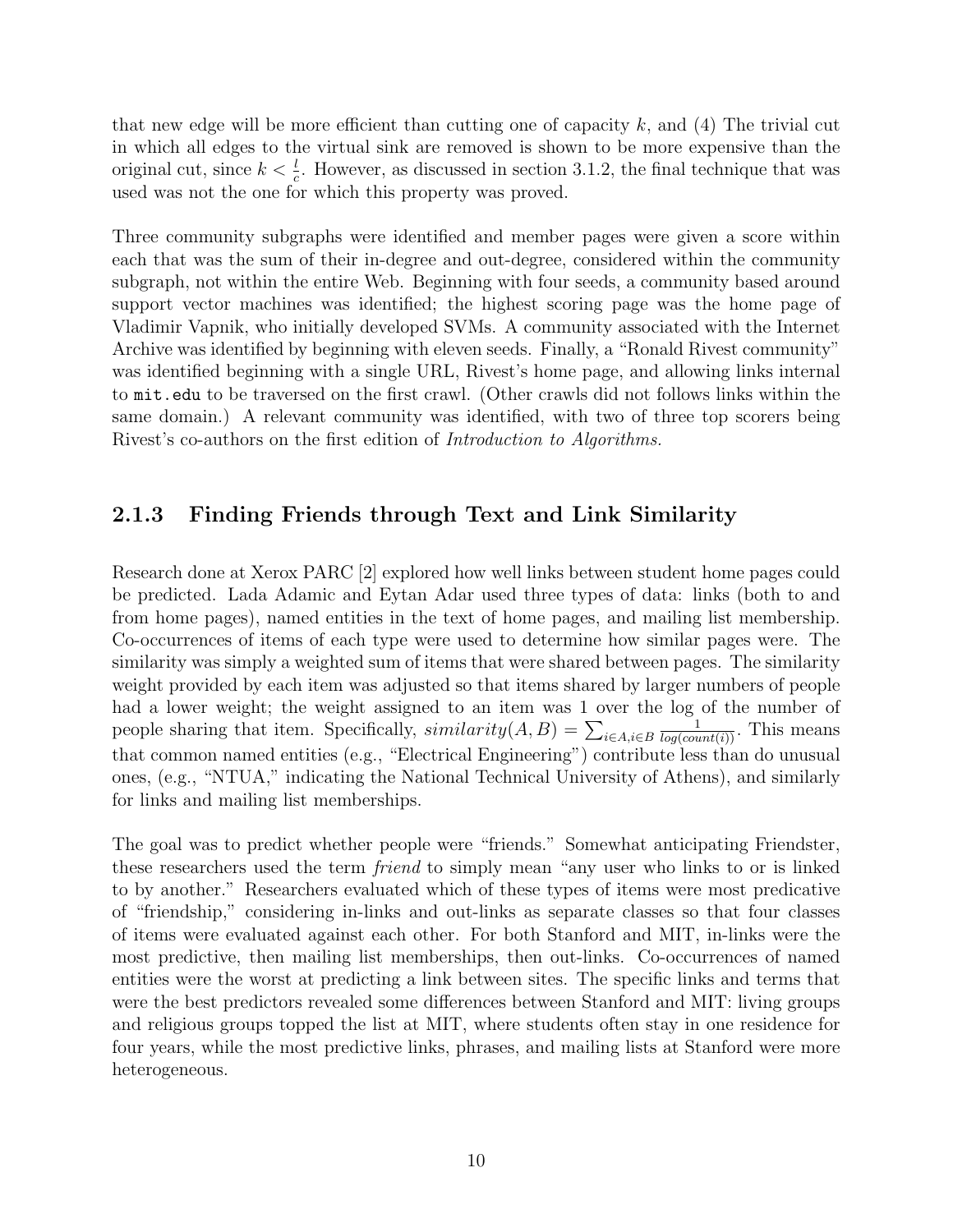that new edge will be more efficient than cutting one of capacity  $k$ , and  $(4)$  The trivial cut in which all edges to the virtual sink are removed is shown to be more expensive than the original cut, since  $k < \frac{l}{c}$ . However, as discussed in section 3.1.2, the final technique that was used was not the one for which this property was proved.

Three community subgraphs were identified and member pages were given a score within each that was the sum of their in-degree and out-degree, considered within the community subgraph, not within the entire Web. Beginning with four seeds, a community based around support vector machines was identified; the highest scoring page was the home page of Vladimir Vapnik, who initially developed SVMs. A community associated with the Internet Archive was identified by beginning with eleven seeds. Finally, a "Ronald Rivest community" was identified beginning with a single URL, Rivest's home page, and allowing links internal to mit.edu to be traversed on the first crawl. (Other crawls did not follows links within the same domain.) A relevant community was identified, with two of three top scorers being Rivest's co-authors on the first edition of Introduction to Algorithms.

#### 2.1.3 Finding Friends through Text and Link Similarity

Research done at Xerox PARC [2] explored how well links between student home pages could be predicted. Lada Adamic and Eytan Adar used three types of data: links (both to and from home pages), named entities in the text of home pages, and mailing list membership. Co-occurrences of items of each type were used to determine how similar pages were. The similarity was simply a weighted sum of items that were shared between pages. The similarity weight provided by each item was adjusted so that items shared by larger numbers of people had a lower weight; the weight assigned to an item was 1 over the log of the number of people sharing that item. Specifically,  $similarity(A, B) = \sum_{i \in A, i \in B}$  $\frac{1}{log(count(i))}$ . This means that common named entities (e.g., "Electrical Engineering") contribute less than do unusual ones, (e.g., "NTUA," indicating the National Technical University of Athens), and similarly for links and mailing list memberships.

The goal was to predict whether people were "friends." Somewhat anticipating Friendster, these researchers used the term friend to simply mean "any user who links to or is linked to by another." Researchers evaluated which of these types of items were most predicative of "friendship," considering in-links and out-links as separate classes so that four classes of items were evaluated against each other. For both Stanford and MIT, in-links were the most predictive, then mailing list memberships, then out-links. Co-occurrences of named entities were the worst at predicting a link between sites. The specific links and terms that were the best predictors revealed some differences between Stanford and MIT: living groups and religious groups topped the list at MIT, where students often stay in one residence for four years, while the most predictive links, phrases, and mailing lists at Stanford were more heterogeneous.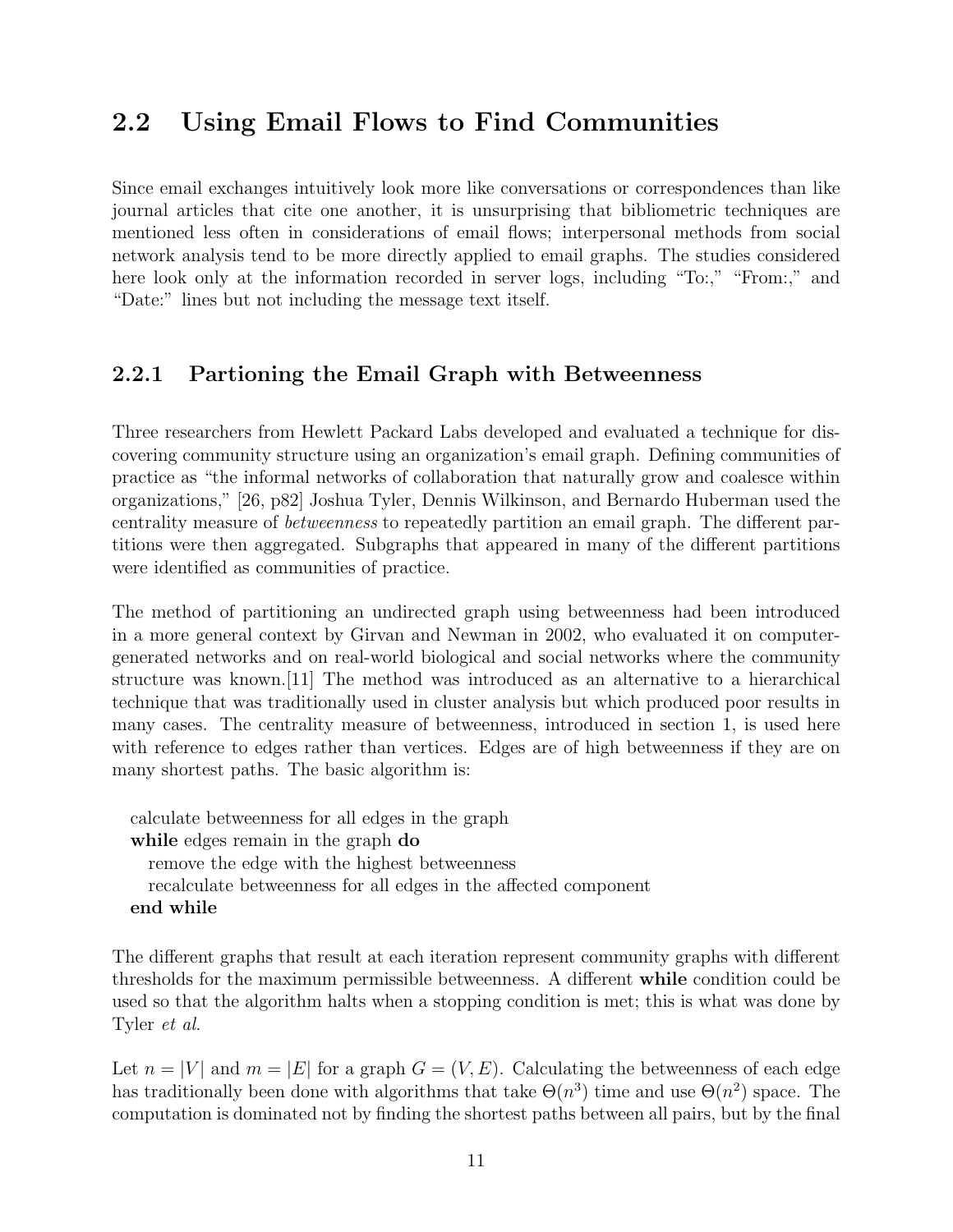## 2.2 Using Email Flows to Find Communities

Since email exchanges intuitively look more like conversations or correspondences than like journal articles that cite one another, it is unsurprising that bibliometric techniques are mentioned less often in considerations of email flows; interpersonal methods from social network analysis tend to be more directly applied to email graphs. The studies considered here look only at the information recorded in server logs, including "To:," "From:," and "Date:" lines but not including the message text itself.

#### 2.2.1 Partioning the Email Graph with Betweenness

Three researchers from Hewlett Packard Labs developed and evaluated a technique for discovering community structure using an organization's email graph. Defining communities of practice as "the informal networks of collaboration that naturally grow and coalesce within organizations," [26, p82] Joshua Tyler, Dennis Wilkinson, and Bernardo Huberman used the centrality measure of betweenness to repeatedly partition an email graph. The different partitions were then aggregated. Subgraphs that appeared in many of the different partitions were identified as communities of practice.

The method of partitioning an undirected graph using betweenness had been introduced in a more general context by Girvan and Newman in 2002, who evaluated it on computergenerated networks and on real-world biological and social networks where the community structure was known.[11] The method was introduced as an alternative to a hierarchical technique that was traditionally used in cluster analysis but which produced poor results in many cases. The centrality measure of betweenness, introduced in section 1, is used here with reference to edges rather than vertices. Edges are of high betweenness if they are on many shortest paths. The basic algorithm is:

calculate betweenness for all edges in the graph while edges remain in the graph do remove the edge with the highest betweenness recalculate betweenness for all edges in the affected component end while

The different graphs that result at each iteration represent community graphs with different thresholds for the maximum permissible betweenness. A different while condition could be used so that the algorithm halts when a stopping condition is met; this is what was done by Tyler et al.

Let  $n = |V|$  and  $m = |E|$  for a graph  $G = (V, E)$ . Calculating the betweenness of each edge has traditionally been done with algorithms that take  $\Theta(n^3)$  time and use  $\Theta(n^2)$  space. The computation is dominated not by finding the shortest paths between all pairs, but by the final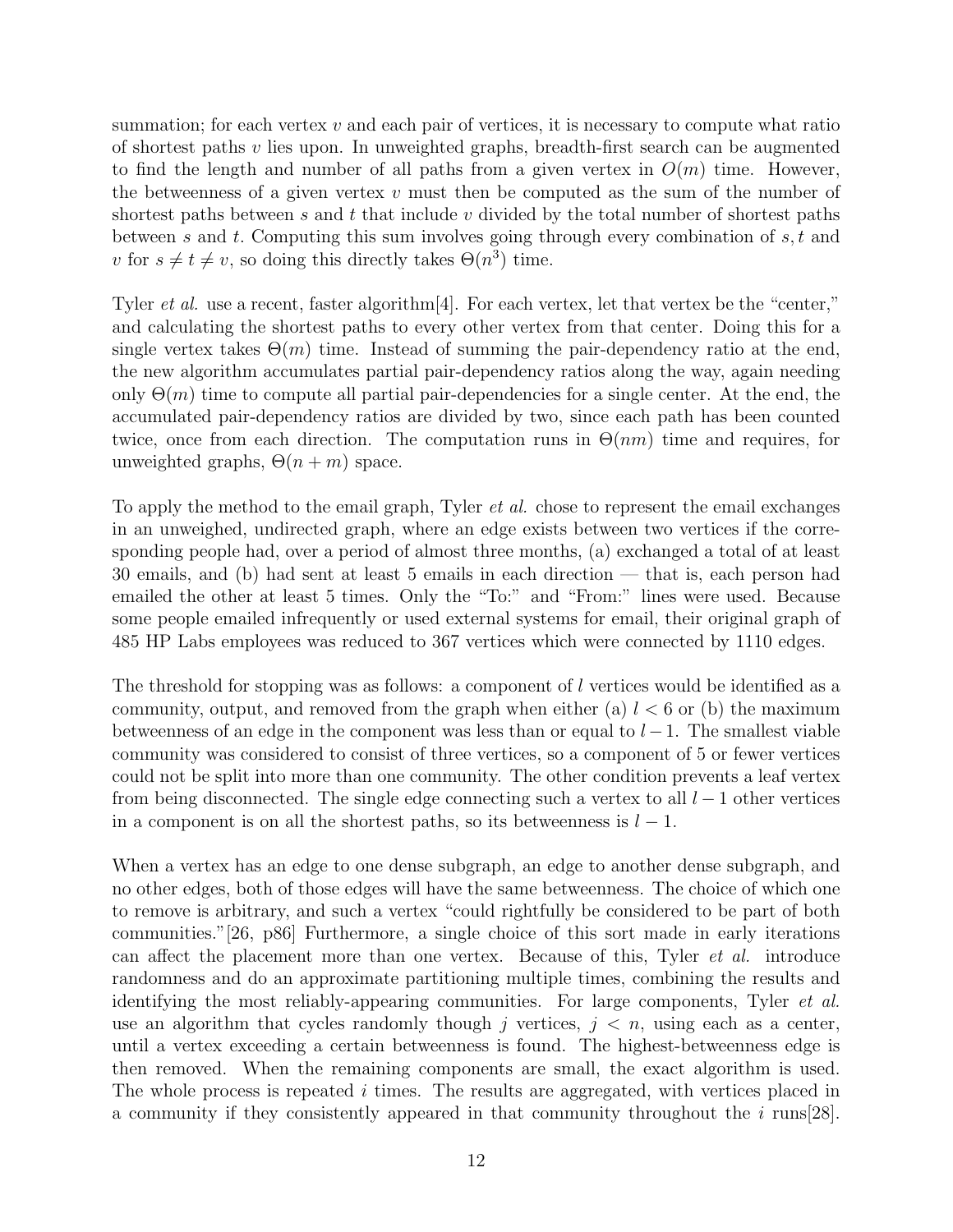summation; for each vertex  $v$  and each pair of vertices, it is necessary to compute what ratio of shortest paths v lies upon. In unweighted graphs, breadth-first search can be augmented to find the length and number of all paths from a given vertex in  $O(m)$  time. However, the betweenness of a given vertex  $v$  must then be computed as the sum of the number of shortest paths between s and t that include v divided by the total number of shortest paths between s and t. Computing this sum involves going through every combination of  $s, t$  and v for  $s \neq t \neq v$ , so doing this directly takes  $\Theta(n^3)$  time.

Tyler *et al.* use a recent, faster algorithm<sup>[4]</sup>. For each vertex, let that vertex be the "center," and calculating the shortest paths to every other vertex from that center. Doing this for a single vertex takes  $\Theta(m)$  time. Instead of summing the pair-dependency ratio at the end, the new algorithm accumulates partial pair-dependency ratios along the way, again needing only  $\Theta(m)$  time to compute all partial pair-dependencies for a single center. At the end, the accumulated pair-dependency ratios are divided by two, since each path has been counted twice, once from each direction. The computation runs in  $\Theta(nm)$  time and requires, for unweighted graphs,  $\Theta(n+m)$  space.

To apply the method to the email graph, Tyler et al. chose to represent the email exchanges in an unweighed, undirected graph, where an edge exists between two vertices if the corresponding people had, over a period of almost three months, (a) exchanged a total of at least 30 emails, and (b) had sent at least 5 emails in each direction — that is, each person had emailed the other at least 5 times. Only the "To:" and "From:" lines were used. Because some people emailed infrequently or used external systems for email, their original graph of 485 HP Labs employees was reduced to 367 vertices which were connected by 1110 edges.

The threshold for stopping was as follows: a component of l vertices would be identified as a community, output, and removed from the graph when either (a)  $l < 6$  or (b) the maximum betweenness of an edge in the component was less than or equal to  $l-1$ . The smallest viable community was considered to consist of three vertices, so a component of 5 or fewer vertices could not be split into more than one community. The other condition prevents a leaf vertex from being disconnected. The single edge connecting such a vertex to all  $l-1$  other vertices in a component is on all the shortest paths, so its betweenness is  $l - 1$ .

When a vertex has an edge to one dense subgraph, an edge to another dense subgraph, and no other edges, both of those edges will have the same betweenness. The choice of which one to remove is arbitrary, and such a vertex "could rightfully be considered to be part of both communities."[26, p86] Furthermore, a single choice of this sort made in early iterations can affect the placement more than one vertex. Because of this, Tyler et al. introduce randomness and do an approximate partitioning multiple times, combining the results and identifying the most reliably-appearing communities. For large components, Tyler et al. use an algorithm that cycles randomly though j vertices,  $j < n$ , using each as a center, until a vertex exceeding a certain betweenness is found. The highest-betweenness edge is then removed. When the remaining components are small, the exact algorithm is used. The whole process is repeated i times. The results are aggregated, with vertices placed in a community if they consistently appeared in that community throughout the i runs[28].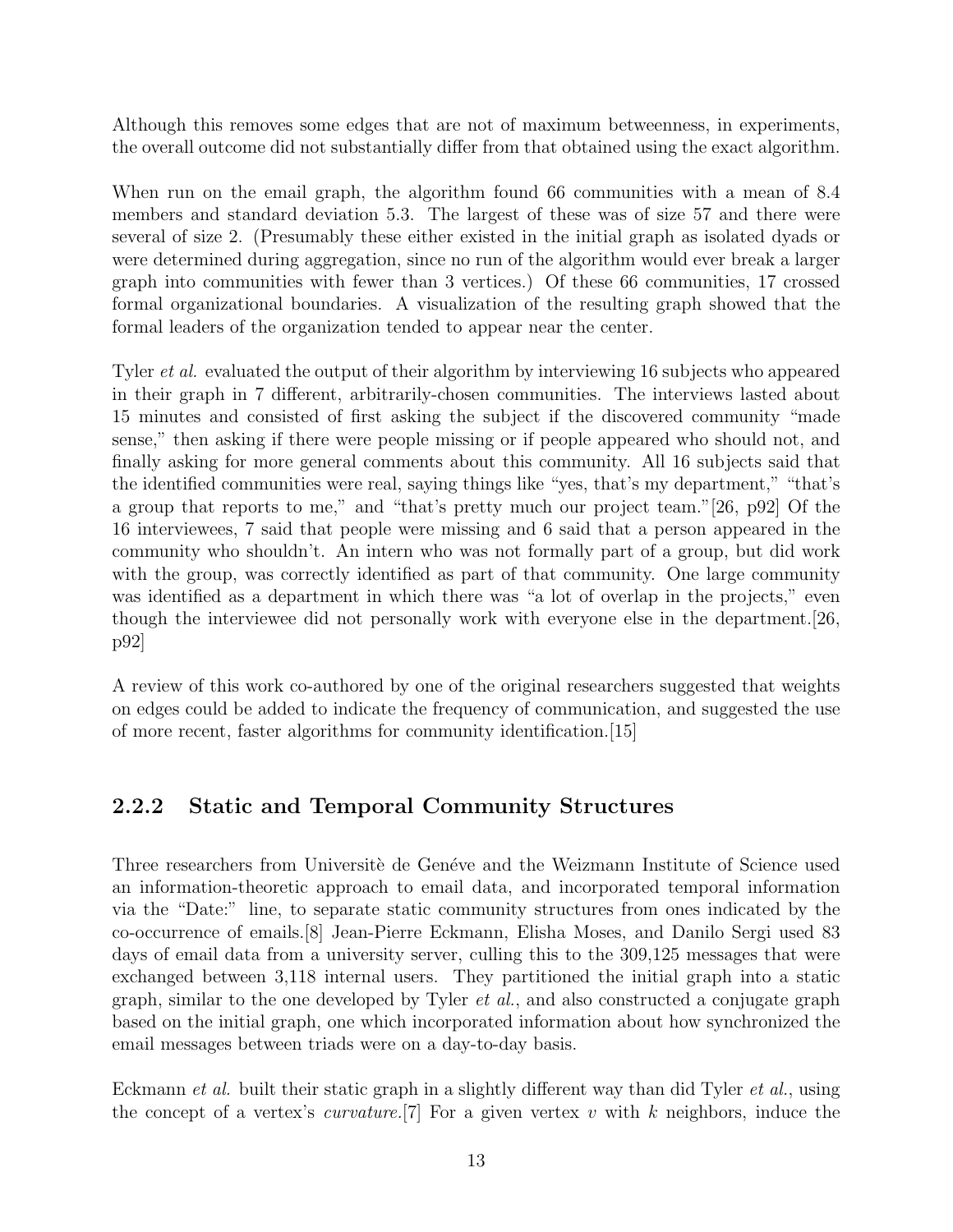Although this removes some edges that are not of maximum betweenness, in experiments, the overall outcome did not substantially differ from that obtained using the exact algorithm.

When run on the email graph, the algorithm found 66 communities with a mean of 8.4 members and standard deviation 5.3. The largest of these was of size 57 and there were several of size 2. (Presumably these either existed in the initial graph as isolated dyads or were determined during aggregation, since no run of the algorithm would ever break a larger graph into communities with fewer than 3 vertices.) Of these 66 communities, 17 crossed formal organizational boundaries. A visualization of the resulting graph showed that the formal leaders of the organization tended to appear near the center.

Tyler et al. evaluated the output of their algorithm by interviewing 16 subjects who appeared in their graph in 7 different, arbitrarily-chosen communities. The interviews lasted about 15 minutes and consisted of first asking the subject if the discovered community "made sense," then asking if there were people missing or if people appeared who should not, and finally asking for more general comments about this community. All 16 subjects said that the identified communities were real, saying things like "yes, that's my department," "that's a group that reports to me," and "that's pretty much our project team."[26, p92] Of the 16 interviewees, 7 said that people were missing and 6 said that a person appeared in the community who shouldn't. An intern who was not formally part of a group, but did work with the group, was correctly identified as part of that community. One large community was identified as a department in which there was "a lot of overlap in the projects," even though the interviewee did not personally work with everyone else in the department.[26, p92]

A review of this work co-authored by one of the original researchers suggested that weights on edges could be added to indicate the frequency of communication, and suggested the use of more recent, faster algorithms for community identification.[15]

### 2.2.2 Static and Temporal Community Structures

Three researchers from Universite de Genéve and the Weizmann Institute of Science used an information-theoretic approach to email data, and incorporated temporal information via the "Date:" line, to separate static community structures from ones indicated by the co-occurrence of emails.[8] Jean-Pierre Eckmann, Elisha Moses, and Danilo Sergi used 83 days of email data from a university server, culling this to the 309,125 messages that were exchanged between 3,118 internal users. They partitioned the initial graph into a static graph, similar to the one developed by Tyler et al., and also constructed a conjugate graph based on the initial graph, one which incorporated information about how synchronized the email messages between triads were on a day-to-day basis.

Eckmann *et al.* built their static graph in a slightly different way than did Tyler *et al.*, using the concept of a vertex's *curvature*. [7] For a given vertex v with k neighbors, induce the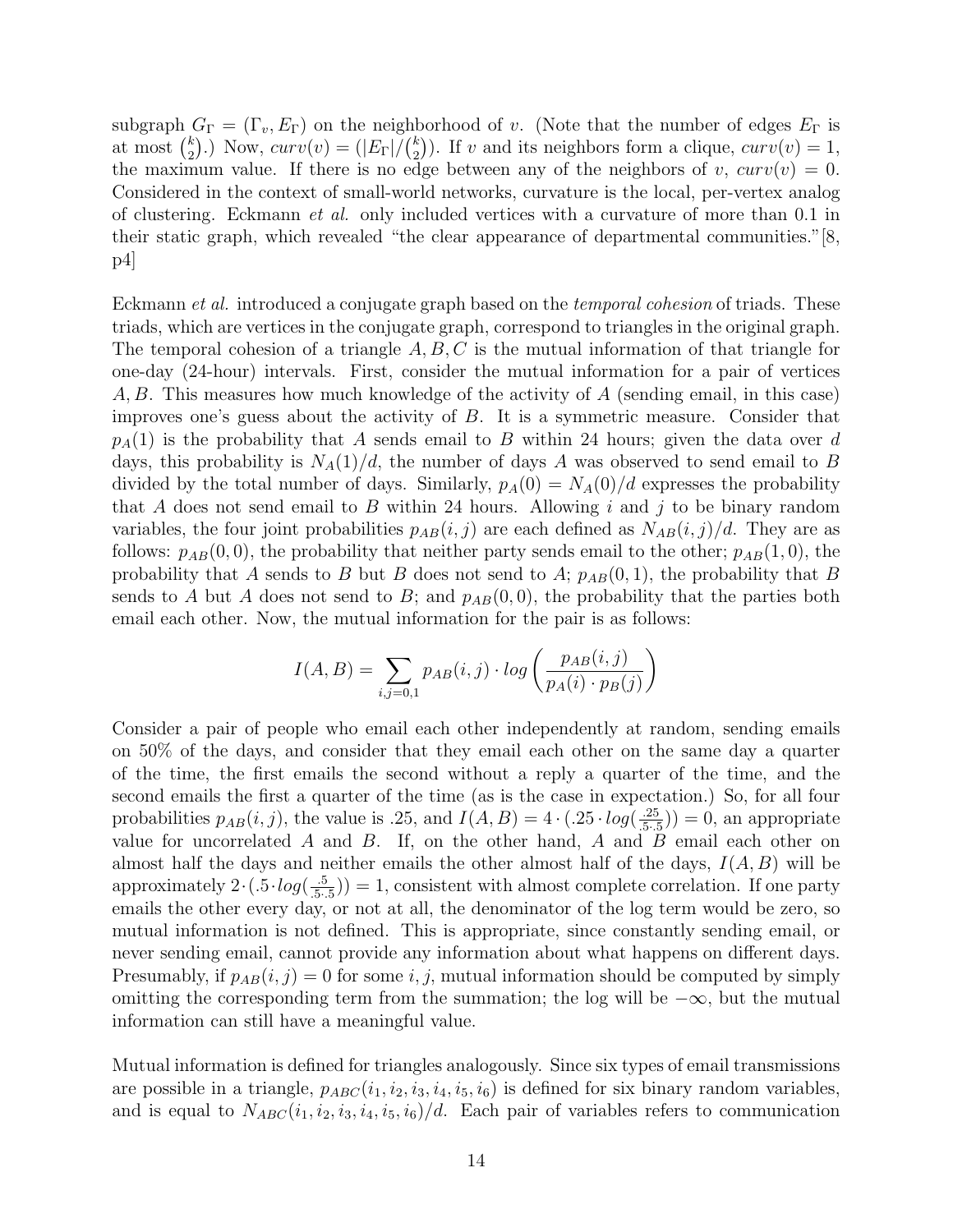subgraph  $G_{\Gamma} = (\Gamma_v, E_{\Gamma})$  on the neighborhood of v. (Note that the number of edges  $E_{\Gamma}$  is at most  $\binom{k}{2}$  $_{2}^{k}$ ).) Now,  $curv(v) = (|E_{\Gamma}|/{\binom{k}{2}}$  $\binom{k}{2}$ ). If v and its neighbors form a clique,  $curv(v) = 1$ , the maximum value. If there is no edge between any of the neighbors of v,  $curv(v) = 0$ . Considered in the context of small-world networks, curvature is the local, per-vertex analog of clustering. Eckmann et al. only included vertices with a curvature of more than 0.1 in their static graph, which revealed "the clear appearance of departmental communities."[8,  $|p4|$ 

Eckmann *et al.* introduced a conjugate graph based on the *temporal cohesion* of triads. These triads, which are vertices in the conjugate graph, correspond to triangles in the original graph. The temporal cohesion of a triangle  $A, B, C$  is the mutual information of that triangle for one-day (24-hour) intervals. First, consider the mutual information for a pair of vertices A, B. This measures how much knowledge of the activity of A (sending email, in this case) improves one's guess about the activity of B. It is a symmetric measure. Consider that  $p_A(1)$  is the probability that A sends email to B within 24 hours; given the data over d days, this probability is  $N_A(1)/d$ , the number of days A was observed to send email to B divided by the total number of days. Similarly,  $p_A(0) = N_A(0)/d$  expresses the probability that A does not send email to B within 24 hours. Allowing  $i$  and  $j$  to be binary random variables, the four joint probabilities  $p_{AB}(i, j)$  are each defined as  $N_{AB}(i, j)/d$ . They are as follows:  $p_{AB}(0,0)$ , the probability that neither party sends email to the other;  $p_{AB}(1,0)$ , the probability that A sends to B but B does not send to A;  $p_{AB}(0,1)$ , the probability that B sends to A but A does not send to B; and  $p_{AB}(0,0)$ , the probability that the parties both email each other. Now, the mutual information for the pair is as follows:

$$
I(A, B) = \sum_{i,j=0,1} p_{AB}(i,j) \cdot \log \left( \frac{p_{AB}(i,j)}{p_A(i) \cdot p_B(j)} \right)
$$

Consider a pair of people who email each other independently at random, sending emails on 50% of the days, and consider that they email each other on the same day a quarter of the time, the first emails the second without a reply a quarter of the time, and the second emails the first a quarter of the time (as is the case in expectation.) So, for all four probabilities  $p_{AB}(i, j)$ , the value is .25, and  $I(A, B) = 4 \cdot (.25 \cdot log(\frac{.25}{.5})$  $\left(\frac{.25}{.5 \cdot .5}\right)$  = 0, an appropriate value for uncorrelated  $A$  and  $B$ . If, on the other hand,  $A$  and  $B$  email each other on almost half the days and neither emails the other almost half of the days,  $I(A, B)$  will be approximately  $2 \cdot (.5 \cdot log(\frac{-5}{5})$  $(\frac{5}{5\cdot5})$ ) = 1, consistent with almost complete correlation. If one party emails the other every day, or not at all, the denominator of the log term would be zero, so mutual information is not defined. This is appropriate, since constantly sending email, or never sending email, cannot provide any information about what happens on different days. Presumably, if  $p_{AB}(i, j) = 0$  for some i, j, mutual information should be computed by simply omitting the corresponding term from the summation; the log will be  $-\infty$ , but the mutual information can still have a meaningful value.

Mutual information is defined for triangles analogously. Since six types of email transmissions are possible in a triangle,  $p_{ABC}(i_1, i_2, i_3, i_4, i_5, i_6)$  is defined for six binary random variables, and is equal to  $N_{ABC}(i_1, i_2, i_3, i_4, i_5, i_6)/d$ . Each pair of variables refers to communication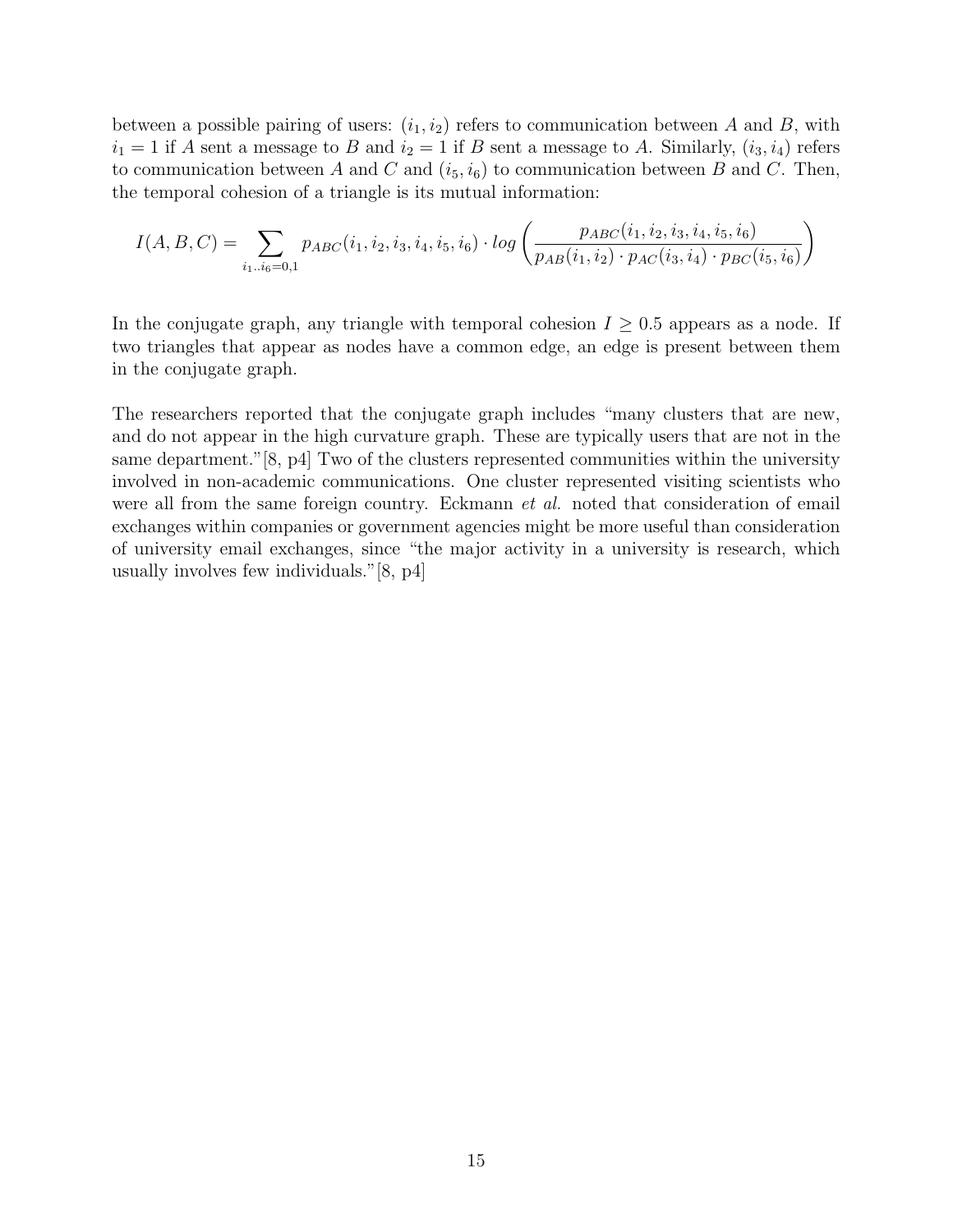between a possible pairing of users:  $(i_1, i_2)$  refers to communication between A and B, with  $i_1 = 1$  if A sent a message to B and  $i_2 = 1$  if B sent a message to A. Similarly,  $(i_3, i_4)$  refers to communication between A and C and  $(i_5, i_6)$  to communication between B and C. Then, the temporal cohesion of a triangle is its mutual information:

$$
I(A, B, C) = \sum_{i_1 \dots i_6 = 0, 1} p_{ABC}(i_1, i_2, i_3, i_4, i_5, i_6) \cdot \log \left( \frac{p_{ABC}(i_1, i_2, i_3, i_4, i_5, i_6)}{p_{AB}(i_1, i_2) \cdot p_{AC}(i_3, i_4) \cdot p_{BC}(i_5, i_6)} \right)
$$

In the conjugate graph, any triangle with temporal cohesion  $I \geq 0.5$  appears as a node. If two triangles that appear as nodes have a common edge, an edge is present between them in the conjugate graph.

The researchers reported that the conjugate graph includes "many clusters that are new, and do not appear in the high curvature graph. These are typically users that are not in the same department."[8, p4] Two of the clusters represented communities within the university involved in non-academic communications. One cluster represented visiting scientists who were all from the same foreign country. Eckmann *et al.* noted that consideration of email exchanges within companies or government agencies might be more useful than consideration of university email exchanges, since "the major activity in a university is research, which usually involves few individuals."[8, p4]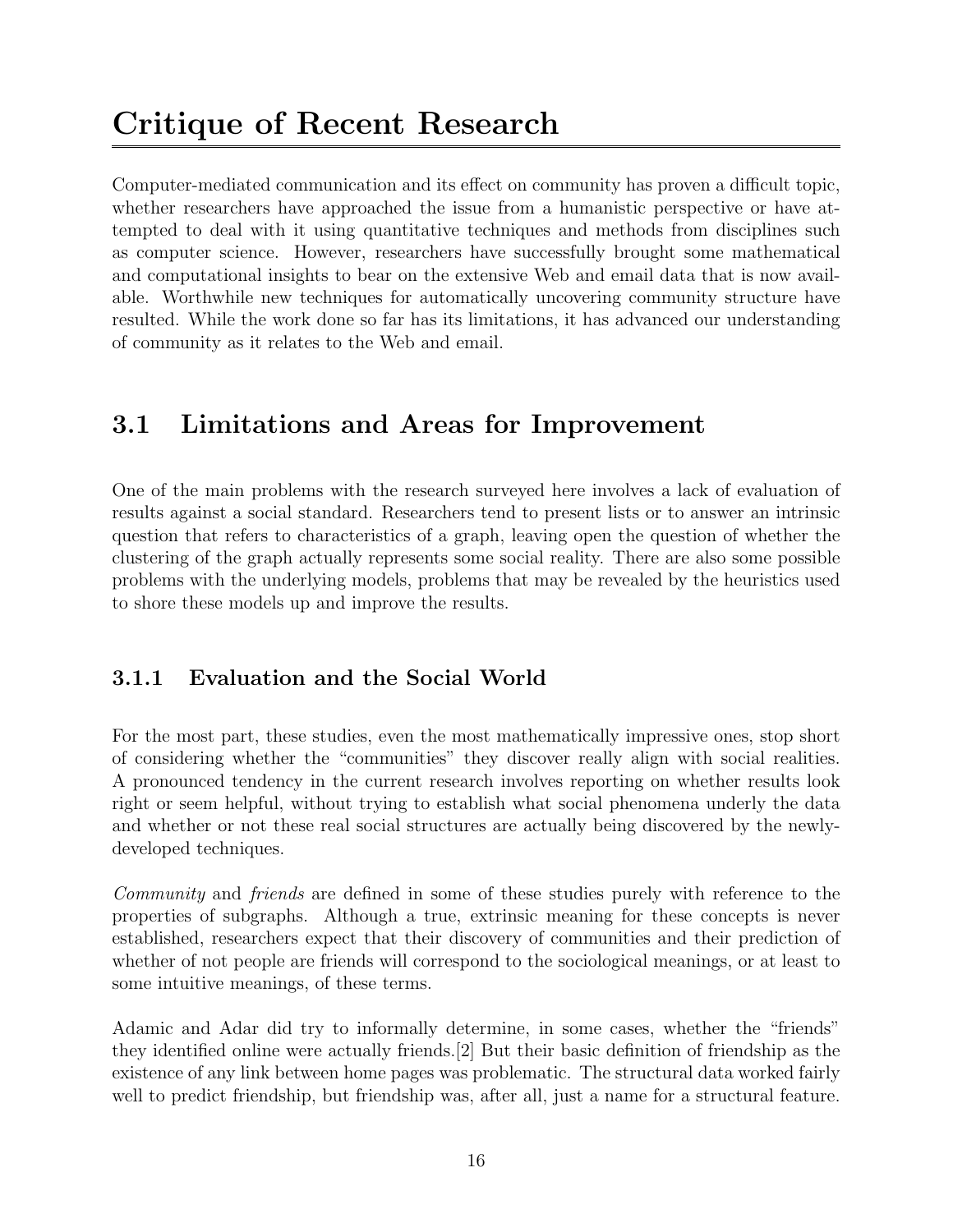## Critique of Recent Research

Computer-mediated communication and its effect on community has proven a difficult topic, whether researchers have approached the issue from a humanistic perspective or have attempted to deal with it using quantitative techniques and methods from disciplines such as computer science. However, researchers have successfully brought some mathematical and computational insights to bear on the extensive Web and email data that is now available. Worthwhile new techniques for automatically uncovering community structure have resulted. While the work done so far has its limitations, it has advanced our understanding of community as it relates to the Web and email.

## 3.1 Limitations and Areas for Improvement

One of the main problems with the research surveyed here involves a lack of evaluation of results against a social standard. Researchers tend to present lists or to answer an intrinsic question that refers to characteristics of a graph, leaving open the question of whether the clustering of the graph actually represents some social reality. There are also some possible problems with the underlying models, problems that may be revealed by the heuristics used to shore these models up and improve the results.

### 3.1.1 Evaluation and the Social World

For the most part, these studies, even the most mathematically impressive ones, stop short of considering whether the "communities" they discover really align with social realities. A pronounced tendency in the current research involves reporting on whether results look right or seem helpful, without trying to establish what social phenomena underly the data and whether or not these real social structures are actually being discovered by the newlydeveloped techniques.

Community and friends are defined in some of these studies purely with reference to the properties of subgraphs. Although a true, extrinsic meaning for these concepts is never established, researchers expect that their discovery of communities and their prediction of whether of not people are friends will correspond to the sociological meanings, or at least to some intuitive meanings, of these terms.

Adamic and Adar did try to informally determine, in some cases, whether the "friends" they identified online were actually friends.[2] But their basic definition of friendship as the existence of any link between home pages was problematic. The structural data worked fairly well to predict friendship, but friendship was, after all, just a name for a structural feature.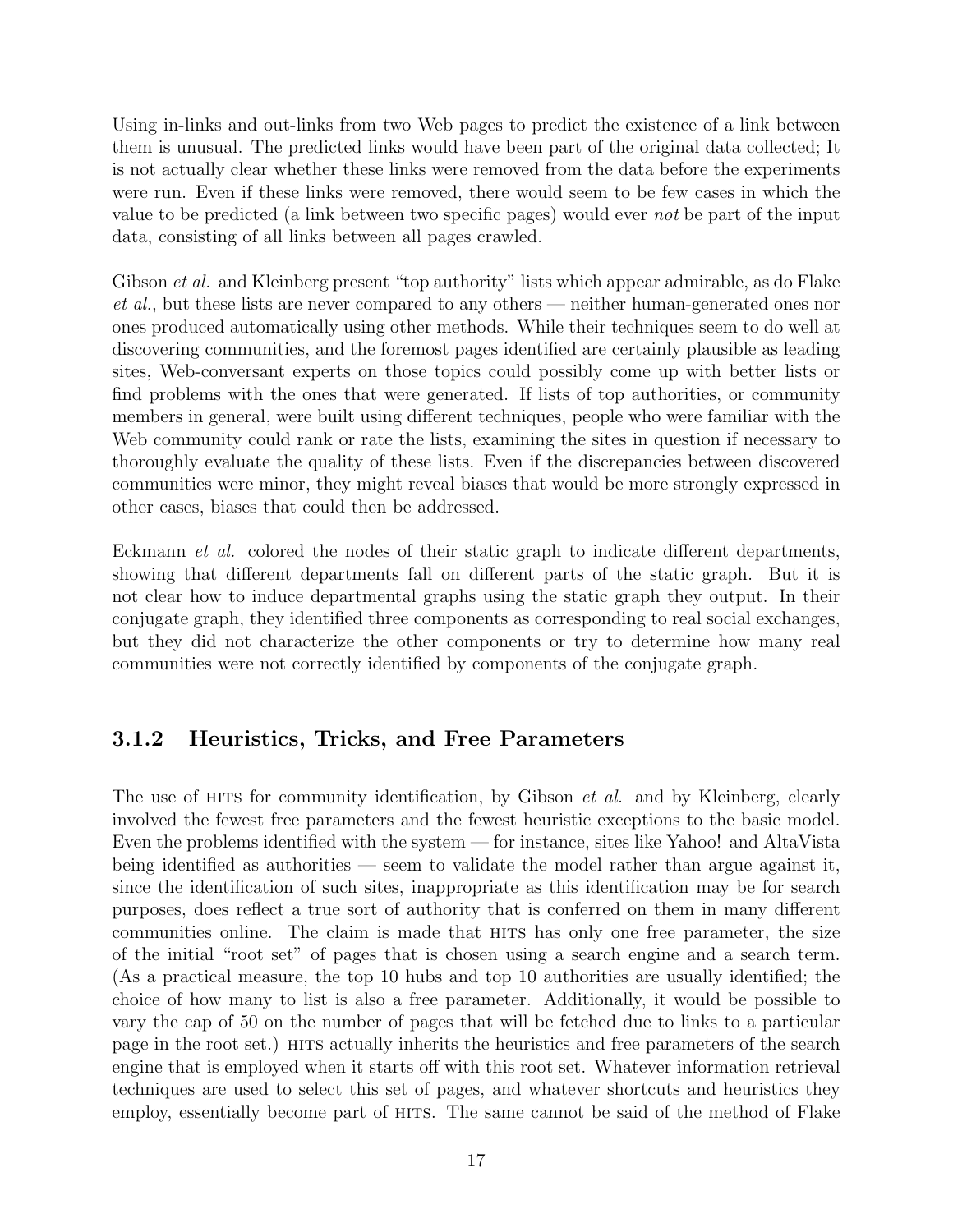Using in-links and out-links from two Web pages to predict the existence of a link between them is unusual. The predicted links would have been part of the original data collected; It is not actually clear whether these links were removed from the data before the experiments were run. Even if these links were removed, there would seem to be few cases in which the value to be predicted (a link between two specific pages) would ever not be part of the input data, consisting of all links between all pages crawled.

Gibson *et al.* and Kleinberg present "top authority" lists which appear admirable, as do Flake et al., but these lists are never compared to any others — neither human-generated ones nor ones produced automatically using other methods. While their techniques seem to do well at discovering communities, and the foremost pages identified are certainly plausible as leading sites, Web-conversant experts on those topics could possibly come up with better lists or find problems with the ones that were generated. If lists of top authorities, or community members in general, were built using different techniques, people who were familiar with the Web community could rank or rate the lists, examining the sites in question if necessary to thoroughly evaluate the quality of these lists. Even if the discrepancies between discovered communities were minor, they might reveal biases that would be more strongly expressed in other cases, biases that could then be addressed.

Eckmann et al. colored the nodes of their static graph to indicate different departments, showing that different departments fall on different parts of the static graph. But it is not clear how to induce departmental graphs using the static graph they output. In their conjugate graph, they identified three components as corresponding to real social exchanges, but they did not characterize the other components or try to determine how many real communities were not correctly identified by components of the conjugate graph.

### 3.1.2 Heuristics, Tricks, and Free Parameters

The use of HITS for community identification, by Gibson *et al.* and by Kleinberg, clearly involved the fewest free parameters and the fewest heuristic exceptions to the basic model. Even the problems identified with the system — for instance, sites like Yahoo! and AltaVista being identified as authorities — seem to validate the model rather than argue against it, since the identification of such sites, inappropriate as this identification may be for search purposes, does reflect a true sort of authority that is conferred on them in many different communities online. The claim is made that hits has only one free parameter, the size of the initial "root set" of pages that is chosen using a search engine and a search term. (As a practical measure, the top 10 hubs and top 10 authorities are usually identified; the choice of how many to list is also a free parameter. Additionally, it would be possible to vary the cap of 50 on the number of pages that will be fetched due to links to a particular page in the root set.) HITS actually inherits the heuristics and free parameters of the search engine that is employed when it starts off with this root set. Whatever information retrieval techniques are used to select this set of pages, and whatever shortcuts and heuristics they employ, essentially become part of HITS. The same cannot be said of the method of Flake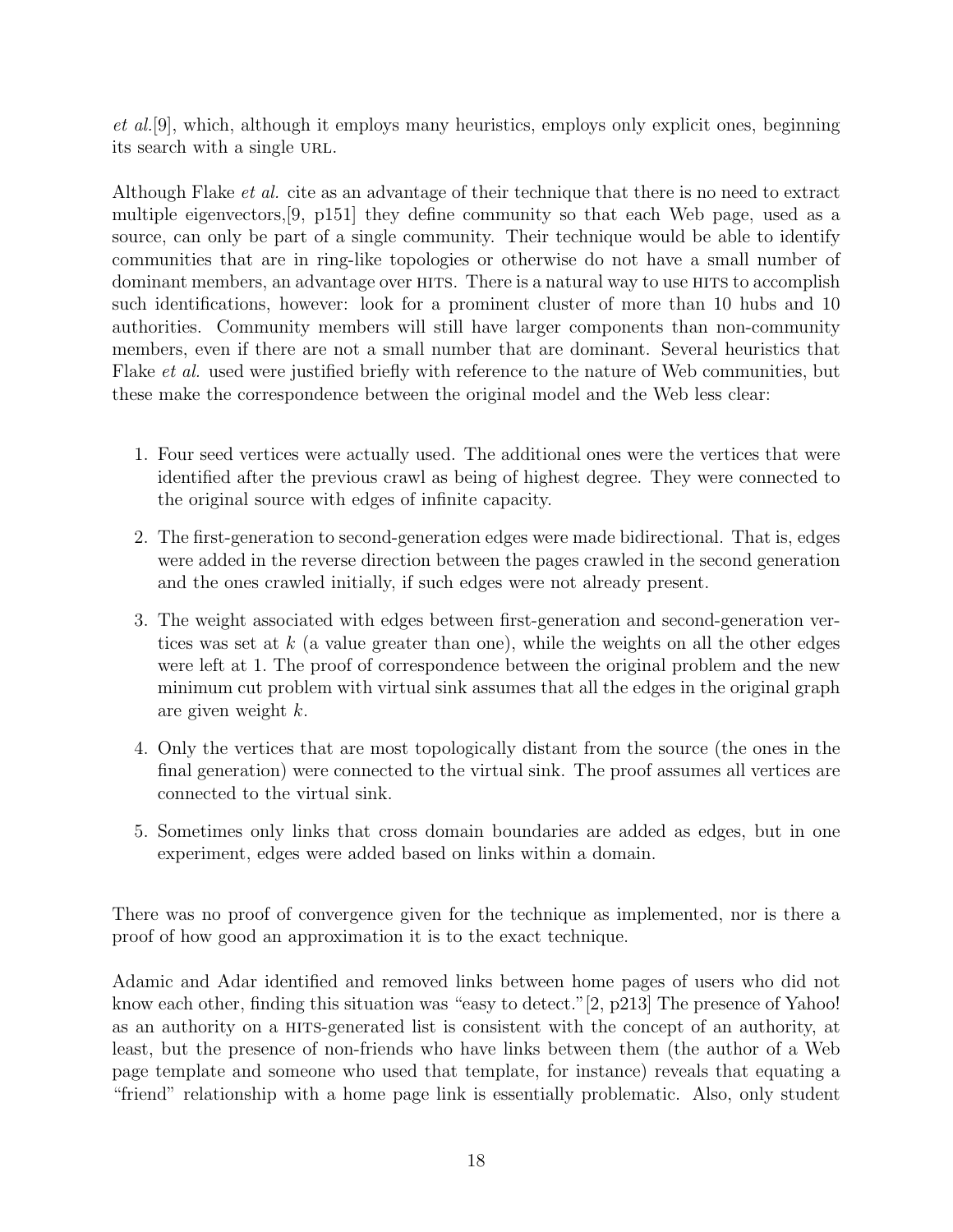et al.[9], which, although it employs many heuristics, employs only explicit ones, beginning its search with a single URL.

Although Flake et al. cite as an advantage of their technique that there is no need to extract multiple eigenvectors,[9, p151] they define community so that each Web page, used as a source, can only be part of a single community. Their technique would be able to identify communities that are in ring-like topologies or otherwise do not have a small number of dominant members, an advantage over HITS. There is a natural way to use HITS to accomplish such identifications, however: look for a prominent cluster of more than 10 hubs and 10 authorities. Community members will still have larger components than non-community members, even if there are not a small number that are dominant. Several heuristics that Flake et al. used were justified briefly with reference to the nature of Web communities, but these make the correspondence between the original model and the Web less clear:

- 1. Four seed vertices were actually used. The additional ones were the vertices that were identified after the previous crawl as being of highest degree. They were connected to the original source with edges of infinite capacity.
- 2. The first-generation to second-generation edges were made bidirectional. That is, edges were added in the reverse direction between the pages crawled in the second generation and the ones crawled initially, if such edges were not already present.
- 3. The weight associated with edges between first-generation and second-generation vertices was set at  $k$  (a value greater than one), while the weights on all the other edges were left at 1. The proof of correspondence between the original problem and the new minimum cut problem with virtual sink assumes that all the edges in the original graph are given weight k.
- 4. Only the vertices that are most topologically distant from the source (the ones in the final generation) were connected to the virtual sink. The proof assumes all vertices are connected to the virtual sink.
- 5. Sometimes only links that cross domain boundaries are added as edges, but in one experiment, edges were added based on links within a domain.

There was no proof of convergence given for the technique as implemented, nor is there a proof of how good an approximation it is to the exact technique.

Adamic and Adar identified and removed links between home pages of users who did not know each other, finding this situation was "easy to detect." [2, p213] The presence of Yahoo! as an authority on a hits-generated list is consistent with the concept of an authority, at least, but the presence of non-friends who have links between them (the author of a Web page template and someone who used that template, for instance) reveals that equating a "friend" relationship with a home page link is essentially problematic. Also, only student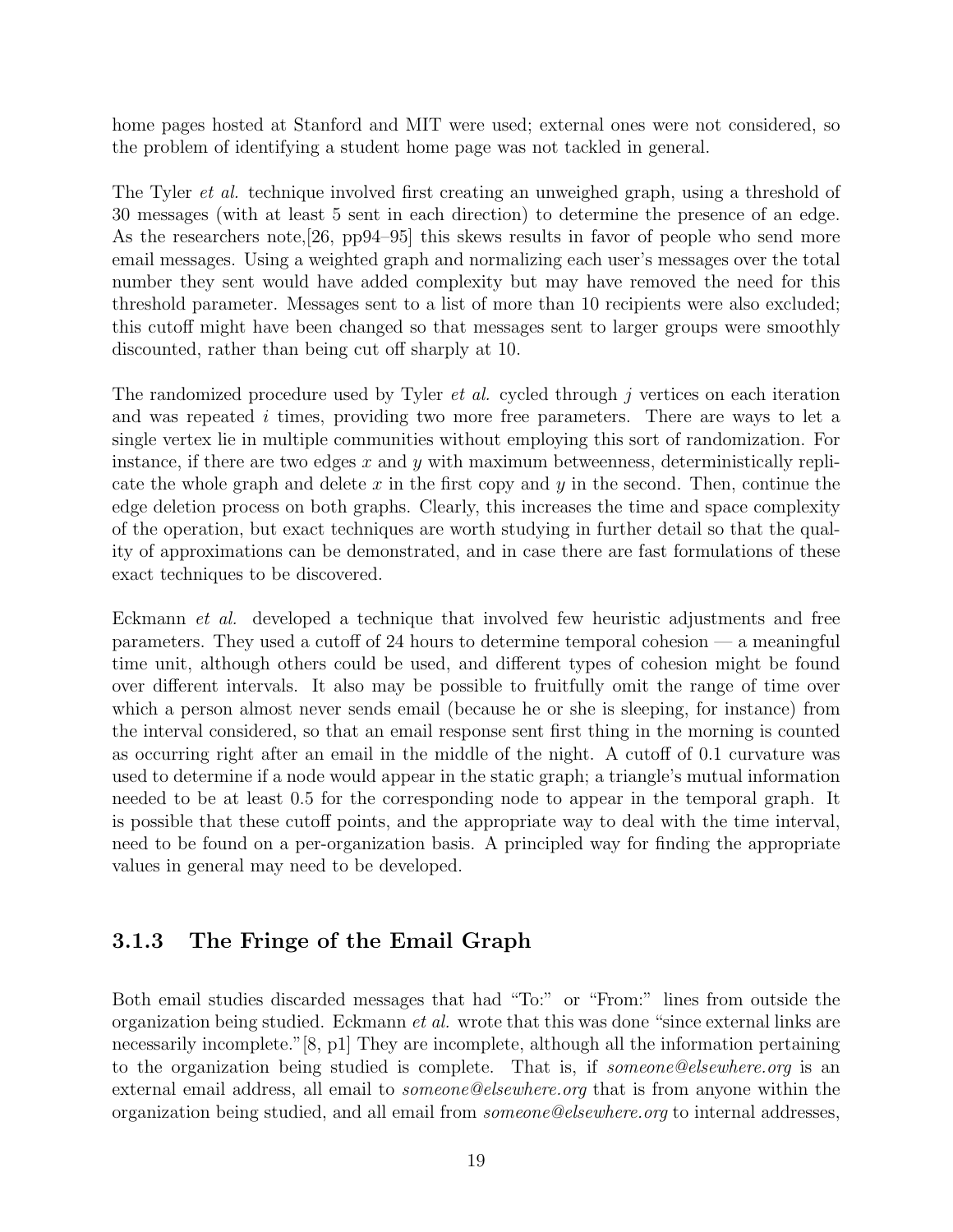home pages hosted at Stanford and MIT were used; external ones were not considered, so the problem of identifying a student home page was not tackled in general.

The Tyler et al. technique involved first creating an unweighed graph, using a threshold of 30 messages (with at least 5 sent in each direction) to determine the presence of an edge. As the researchers note, 26, pp94–95 this skews results in favor of people who send more email messages. Using a weighted graph and normalizing each user's messages over the total number they sent would have added complexity but may have removed the need for this threshold parameter. Messages sent to a list of more than 10 recipients were also excluded; this cutoff might have been changed so that messages sent to larger groups were smoothly discounted, rather than being cut off sharply at 10.

The randomized procedure used by Tyler *et al.* cycled through j vertices on each iteration and was repeated  $i$  times, providing two more free parameters. There are ways to let a single vertex lie in multiple communities without employing this sort of randomization. For instance, if there are two edges  $x$  and  $y$  with maximum betweenness, deterministically replicate the whole graph and delete  $x$  in the first copy and  $y$  in the second. Then, continue the edge deletion process on both graphs. Clearly, this increases the time and space complexity of the operation, but exact techniques are worth studying in further detail so that the quality of approximations can be demonstrated, and in case there are fast formulations of these exact techniques to be discovered.

Eckmann et al. developed a technique that involved few heuristic adjustments and free parameters. They used a cutoff of 24 hours to determine temporal cohesion — a meaningful time unit, although others could be used, and different types of cohesion might be found over different intervals. It also may be possible to fruitfully omit the range of time over which a person almost never sends email (because he or she is sleeping, for instance) from the interval considered, so that an email response sent first thing in the morning is counted as occurring right after an email in the middle of the night. A cutoff of 0.1 curvature was used to determine if a node would appear in the static graph; a triangle's mutual information needed to be at least 0.5 for the corresponding node to appear in the temporal graph. It is possible that these cutoff points, and the appropriate way to deal with the time interval, need to be found on a per-organization basis. A principled way for finding the appropriate values in general may need to be developed.

#### 3.1.3 The Fringe of the Email Graph

Both email studies discarded messages that had "To:" or "From:" lines from outside the organization being studied. Eckmann *et al.* wrote that this was done "since external links are necessarily incomplete."[8, p1] They are incomplete, although all the information pertaining to the organization being studied is complete. That is, if *someone@elsewhere.org* is an external email address, all email to *someone@elsewhere.org* that is from anyone within the organization being studied, and all email from someone@elsewhere.org to internal addresses,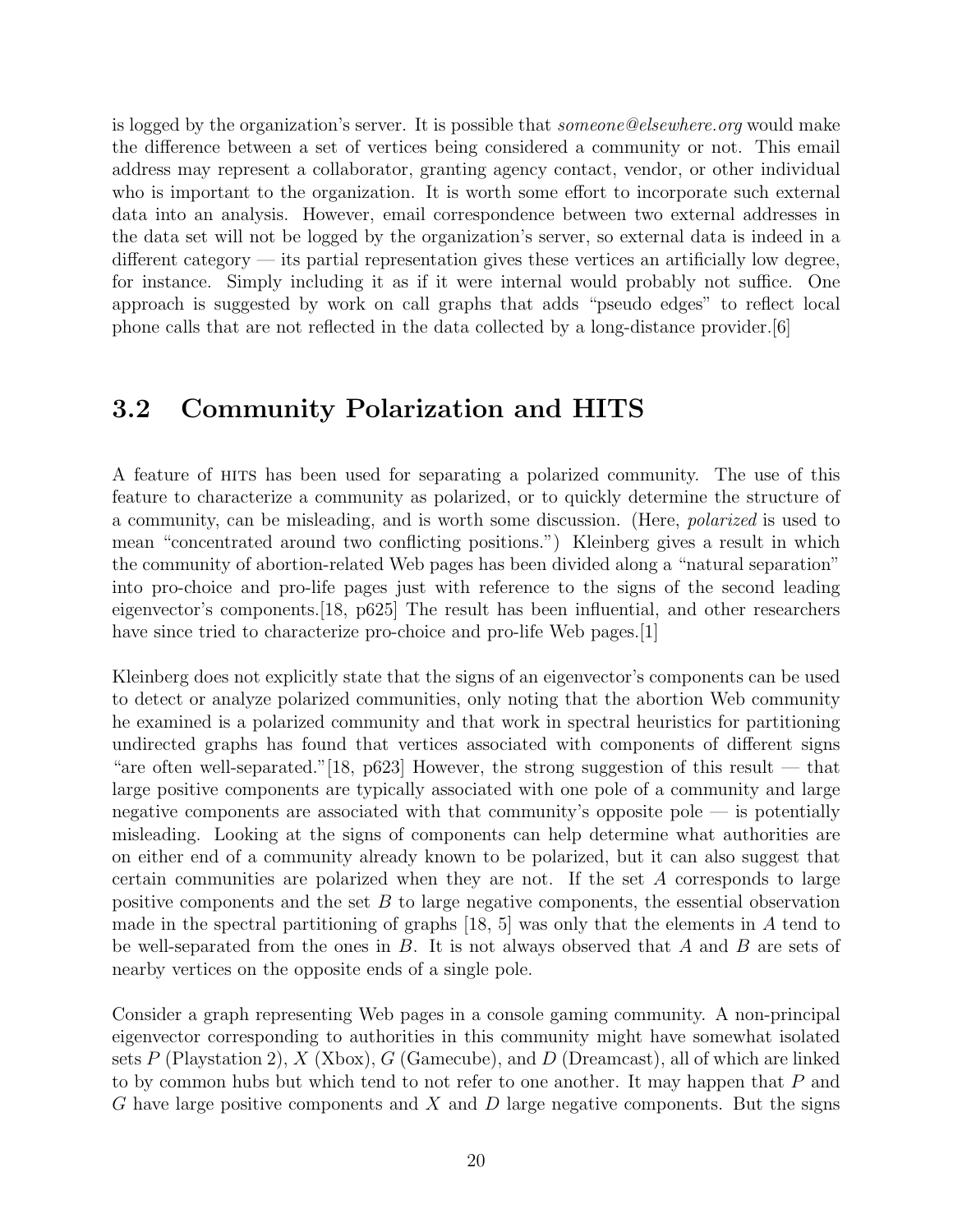is logged by the organization's server. It is possible that someone@elsewhere.org would make the difference between a set of vertices being considered a community or not. This email address may represent a collaborator, granting agency contact, vendor, or other individual who is important to the organization. It is worth some effort to incorporate such external data into an analysis. However, email correspondence between two external addresses in the data set will not be logged by the organization's server, so external data is indeed in a different category — its partial representation gives these vertices an artificially low degree, for instance. Simply including it as if it were internal would probably not suffice. One approach is suggested by work on call graphs that adds "pseudo edges" to reflect local phone calls that are not reflected in the data collected by a long-distance provider.[6]

### 3.2 Community Polarization and HITS

A feature of hits has been used for separating a polarized community. The use of this feature to characterize a community as polarized, or to quickly determine the structure of a community, can be misleading, and is worth some discussion. (Here, polarized is used to mean "concentrated around two conflicting positions.") Kleinberg gives a result in which the community of abortion-related Web pages has been divided along a "natural separation" into pro-choice and pro-life pages just with reference to the signs of the second leading eigenvector's components.[18, p625] The result has been influential, and other researchers have since tried to characterize pro-choice and pro-life Web pages. [1]

Kleinberg does not explicitly state that the signs of an eigenvector's components can be used to detect or analyze polarized communities, only noting that the abortion Web community he examined is a polarized community and that work in spectral heuristics for partitioning undirected graphs has found that vertices associated with components of different signs "are often well-separated." [18, p623] However, the strong suggestion of this result — that large positive components are typically associated with one pole of a community and large negative components are associated with that community's opposite pole — is potentially misleading. Looking at the signs of components can help determine what authorities are on either end of a community already known to be polarized, but it can also suggest that certain communities are polarized when they are not. If the set A corresponds to large positive components and the set  $B$  to large negative components, the essential observation made in the spectral partitioning of graphs  $[18, 5]$  was only that the elements in A tend to be well-separated from the ones in  $B$ . It is not always observed that  $A$  and  $B$  are sets of nearby vertices on the opposite ends of a single pole.

Consider a graph representing Web pages in a console gaming community. A non-principal eigenvector corresponding to authorities in this community might have somewhat isolated sets P (Playstation 2), X (Xbox), G (Gamecube), and D (Dreamcast), all of which are linked to by common hubs but which tend to not refer to one another. It may happen that P and G have large positive components and X and D large negative components. But the signs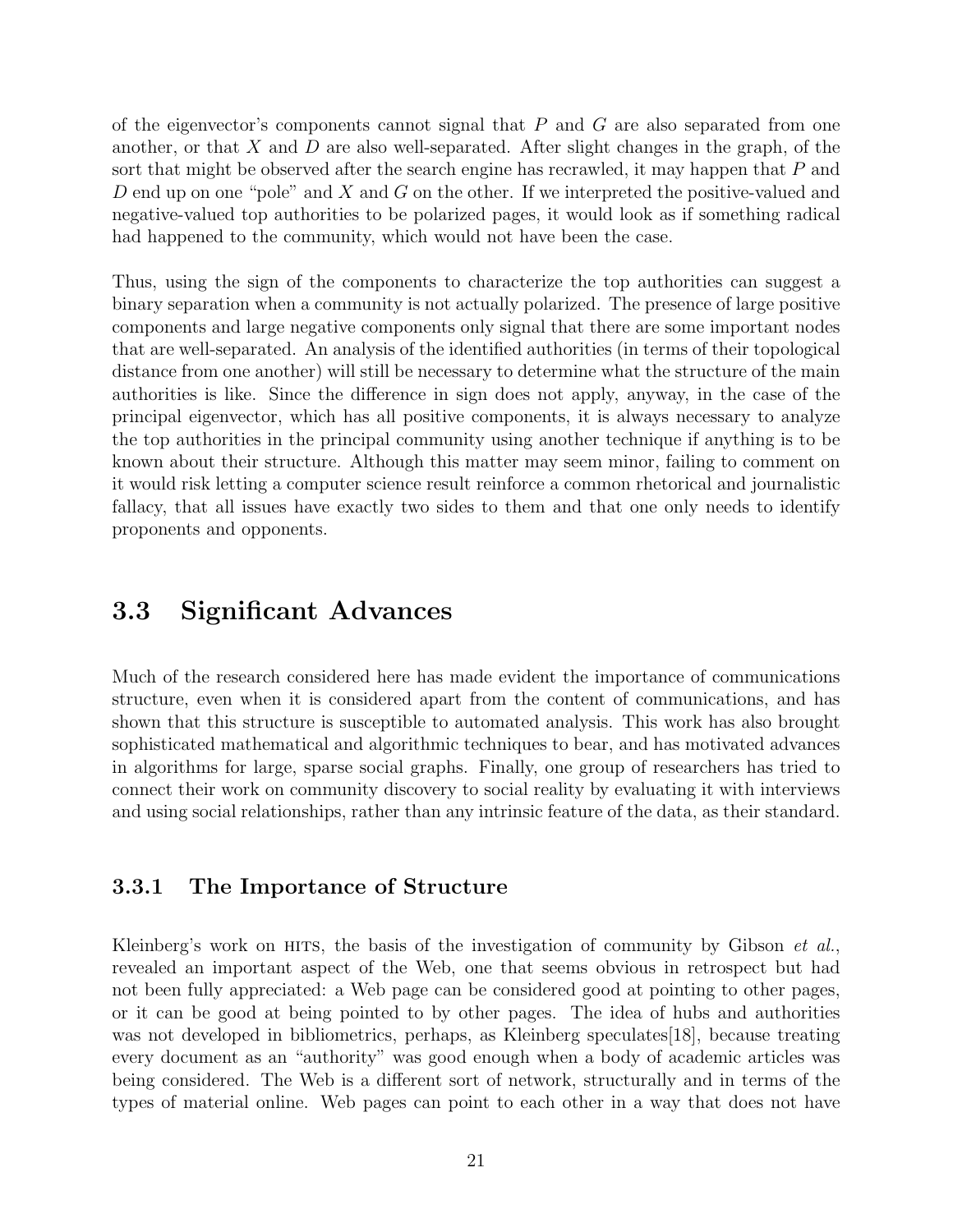of the eigenvector's components cannot signal that  $P$  and  $G$  are also separated from one another, or that X and D are also well-separated. After slight changes in the graph, of the sort that might be observed after the search engine has recrawled, it may happen that P and D end up on one "pole" and X and G on the other. If we interpreted the positive-valued and negative-valued top authorities to be polarized pages, it would look as if something radical had happened to the community, which would not have been the case.

Thus, using the sign of the components to characterize the top authorities can suggest a binary separation when a community is not actually polarized. The presence of large positive components and large negative components only signal that there are some important nodes that are well-separated. An analysis of the identified authorities (in terms of their topological distance from one another) will still be necessary to determine what the structure of the main authorities is like. Since the difference in sign does not apply, anyway, in the case of the principal eigenvector, which has all positive components, it is always necessary to analyze the top authorities in the principal community using another technique if anything is to be known about their structure. Although this matter may seem minor, failing to comment on it would risk letting a computer science result reinforce a common rhetorical and journalistic fallacy, that all issues have exactly two sides to them and that one only needs to identify proponents and opponents.

### 3.3 Significant Advances

Much of the research considered here has made evident the importance of communications structure, even when it is considered apart from the content of communications, and has shown that this structure is susceptible to automated analysis. This work has also brought sophisticated mathematical and algorithmic techniques to bear, and has motivated advances in algorithms for large, sparse social graphs. Finally, one group of researchers has tried to connect their work on community discovery to social reality by evaluating it with interviews and using social relationships, rather than any intrinsic feature of the data, as their standard.

#### 3.3.1 The Importance of Structure

Kleinberg's work on HITS, the basis of the investigation of community by Gibson  $et al.,$ revealed an important aspect of the Web, one that seems obvious in retrospect but had not been fully appreciated: a Web page can be considered good at pointing to other pages, or it can be good at being pointed to by other pages. The idea of hubs and authorities was not developed in bibliometrics, perhaps, as Kleinberg speculates[18], because treating every document as an "authority" was good enough when a body of academic articles was being considered. The Web is a different sort of network, structurally and in terms of the types of material online. Web pages can point to each other in a way that does not have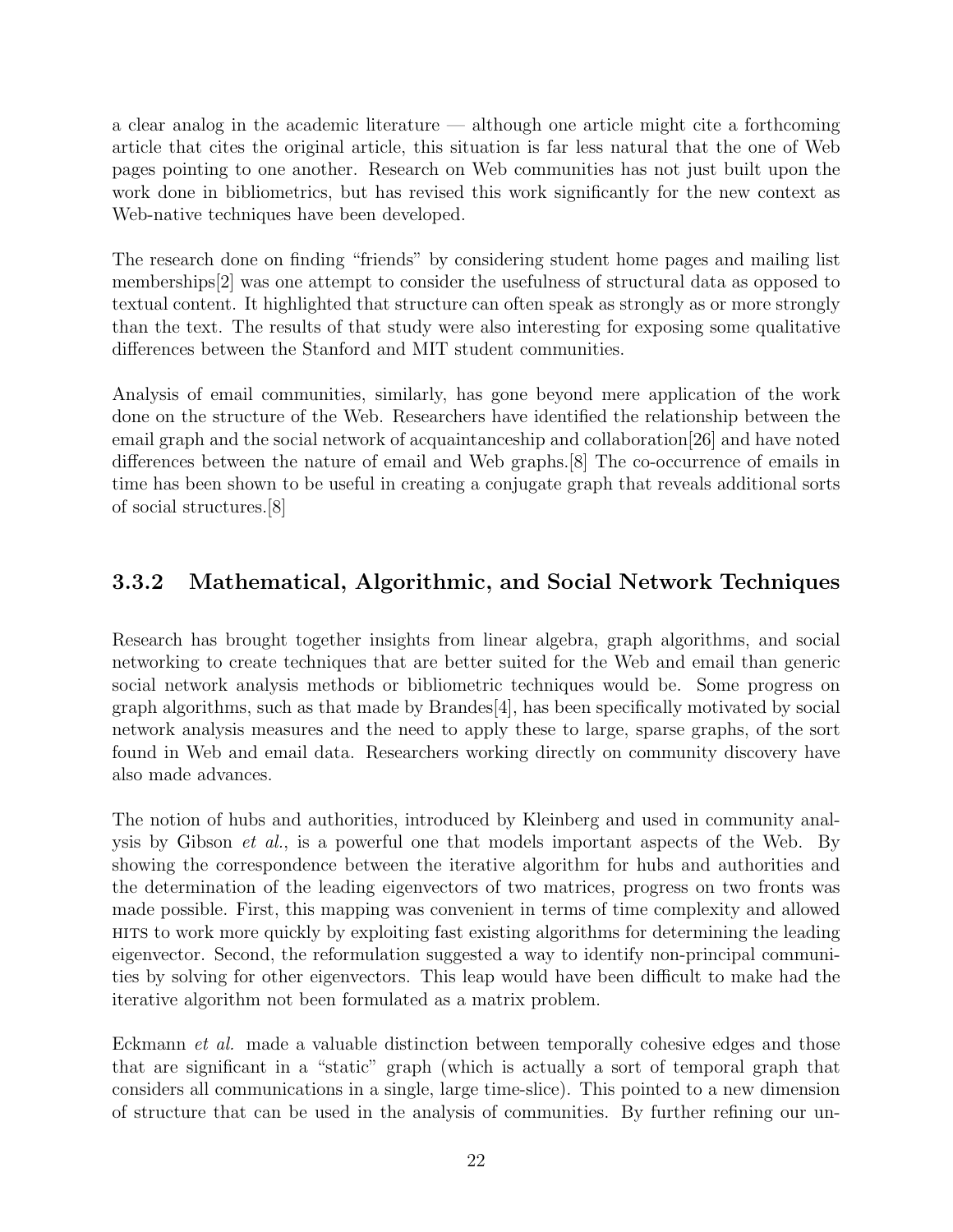a clear analog in the academic literature — although one article might cite a forthcoming article that cites the original article, this situation is far less natural that the one of Web pages pointing to one another. Research on Web communities has not just built upon the work done in bibliometrics, but has revised this work significantly for the new context as Web-native techniques have been developed.

The research done on finding "friends" by considering student home pages and mailing list memberships[2] was one attempt to consider the usefulness of structural data as opposed to textual content. It highlighted that structure can often speak as strongly as or more strongly than the text. The results of that study were also interesting for exposing some qualitative differences between the Stanford and MIT student communities.

Analysis of email communities, similarly, has gone beyond mere application of the work done on the structure of the Web. Researchers have identified the relationship between the email graph and the social network of acquaintanceship and collaboration[26] and have noted differences between the nature of email and Web graphs.[8] The co-occurrence of emails in time has been shown to be useful in creating a conjugate graph that reveals additional sorts of social structures.[8]

### 3.3.2 Mathematical, Algorithmic, and Social Network Techniques

Research has brought together insights from linear algebra, graph algorithms, and social networking to create techniques that are better suited for the Web and email than generic social network analysis methods or bibliometric techniques would be. Some progress on graph algorithms, such as that made by Brandes[4], has been specifically motivated by social network analysis measures and the need to apply these to large, sparse graphs, of the sort found in Web and email data. Researchers working directly on community discovery have also made advances.

The notion of hubs and authorities, introduced by Kleinberg and used in community analysis by Gibson et al., is a powerful one that models important aspects of the Web. By showing the correspondence between the iterative algorithm for hubs and authorities and the determination of the leading eigenvectors of two matrices, progress on two fronts was made possible. First, this mapping was convenient in terms of time complexity and allowed hits to work more quickly by exploiting fast existing algorithms for determining the leading eigenvector. Second, the reformulation suggested a way to identify non-principal communities by solving for other eigenvectors. This leap would have been difficult to make had the iterative algorithm not been formulated as a matrix problem.

Eckmann et al. made a valuable distinction between temporally cohesive edges and those that are significant in a "static" graph (which is actually a sort of temporal graph that considers all communications in a single, large time-slice). This pointed to a new dimension of structure that can be used in the analysis of communities. By further refining our un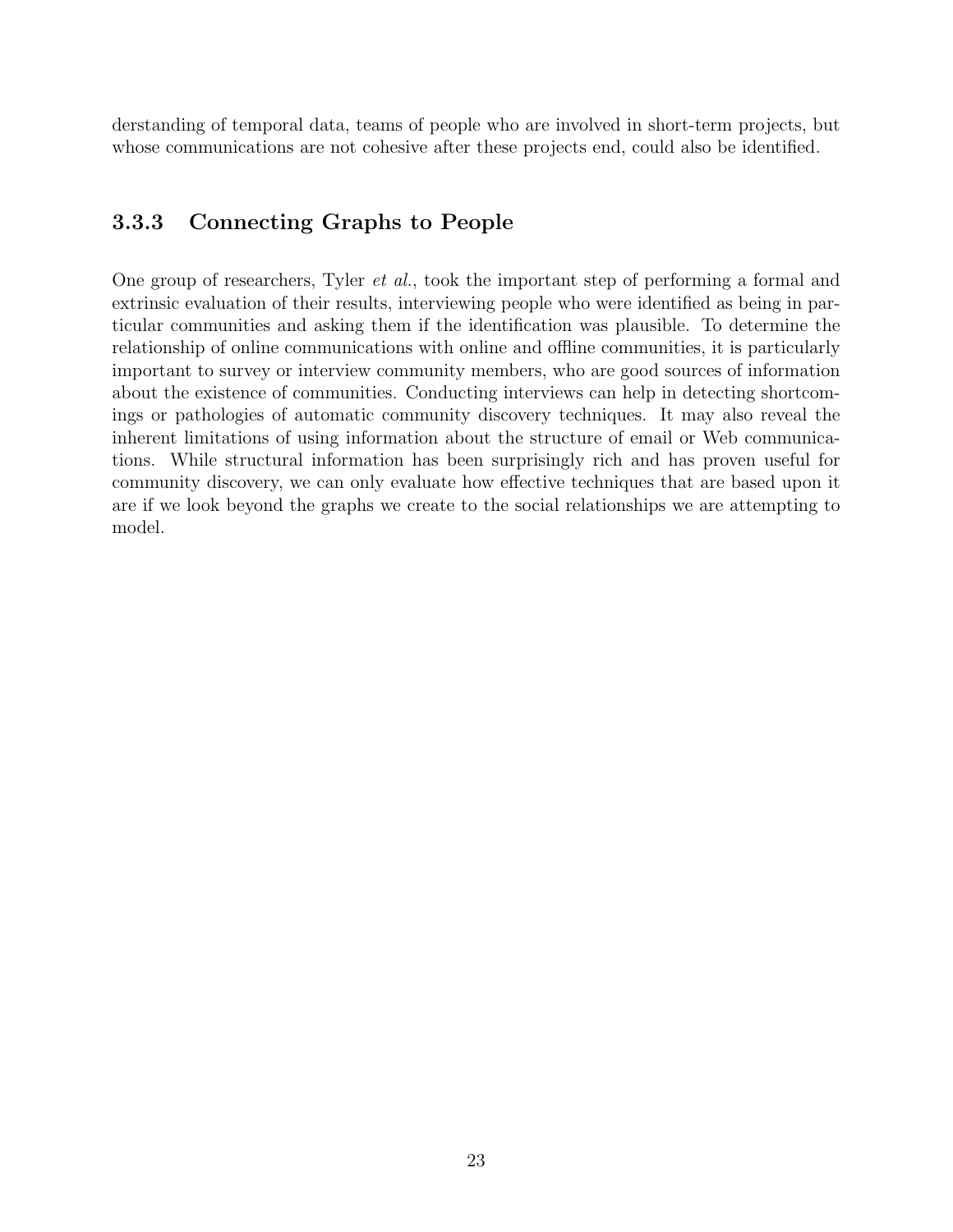derstanding of temporal data, teams of people who are involved in short-term projects, but whose communications are not cohesive after these projects end, could also be identified.

### 3.3.3 Connecting Graphs to People

One group of researchers, Tyler et al., took the important step of performing a formal and extrinsic evaluation of their results, interviewing people who were identified as being in particular communities and asking them if the identification was plausible. To determine the relationship of online communications with online and offline communities, it is particularly important to survey or interview community members, who are good sources of information about the existence of communities. Conducting interviews can help in detecting shortcomings or pathologies of automatic community discovery techniques. It may also reveal the inherent limitations of using information about the structure of email or Web communications. While structural information has been surprisingly rich and has proven useful for community discovery, we can only evaluate how effective techniques that are based upon it are if we look beyond the graphs we create to the social relationships we are attempting to model.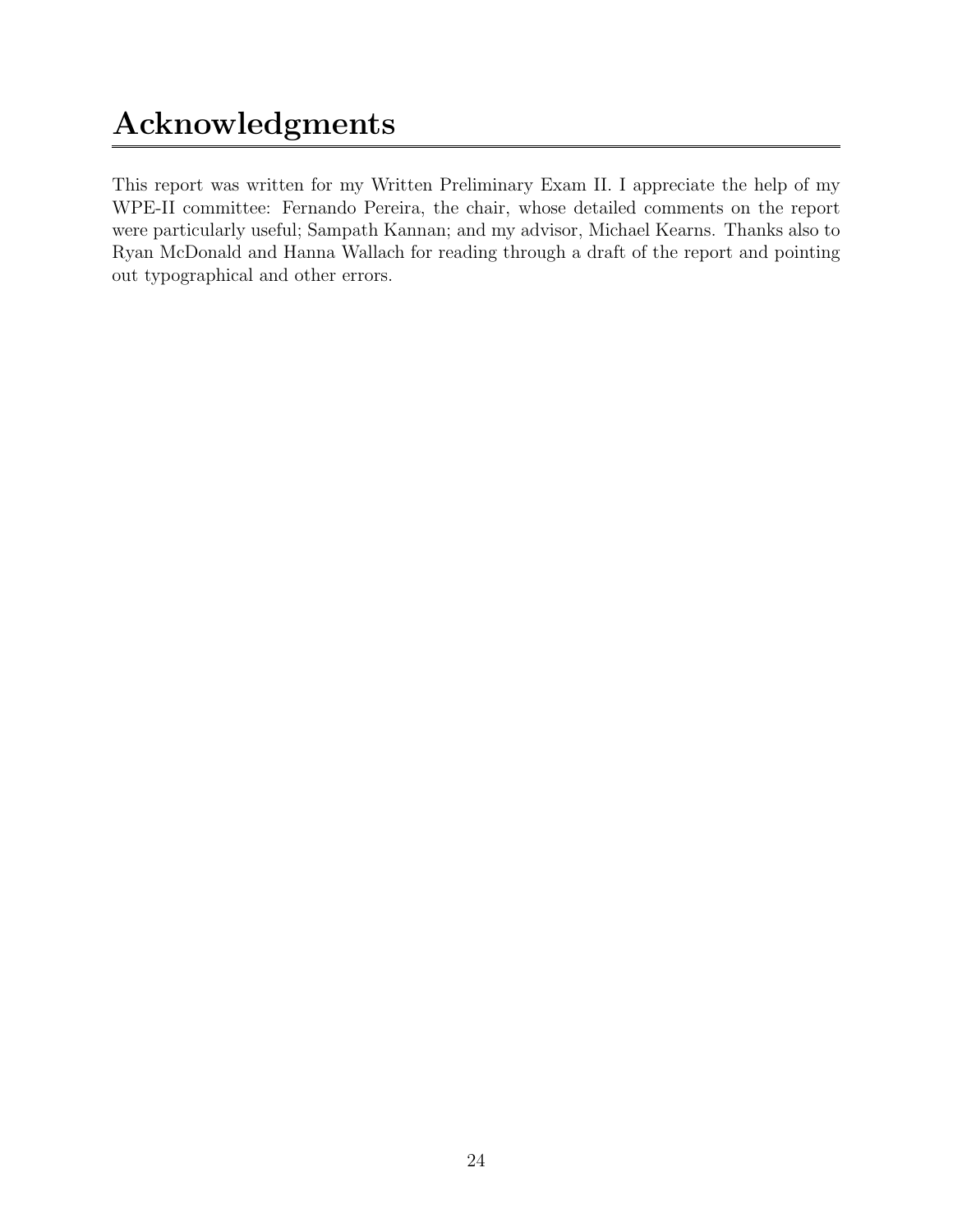# Acknowledgments

This report was written for my Written Preliminary Exam II. I appreciate the help of my WPE-II committee: Fernando Pereira, the chair, whose detailed comments on the report were particularly useful; Sampath Kannan; and my advisor, Michael Kearns. Thanks also to Ryan McDonald and Hanna Wallach for reading through a draft of the report and pointing out typographical and other errors.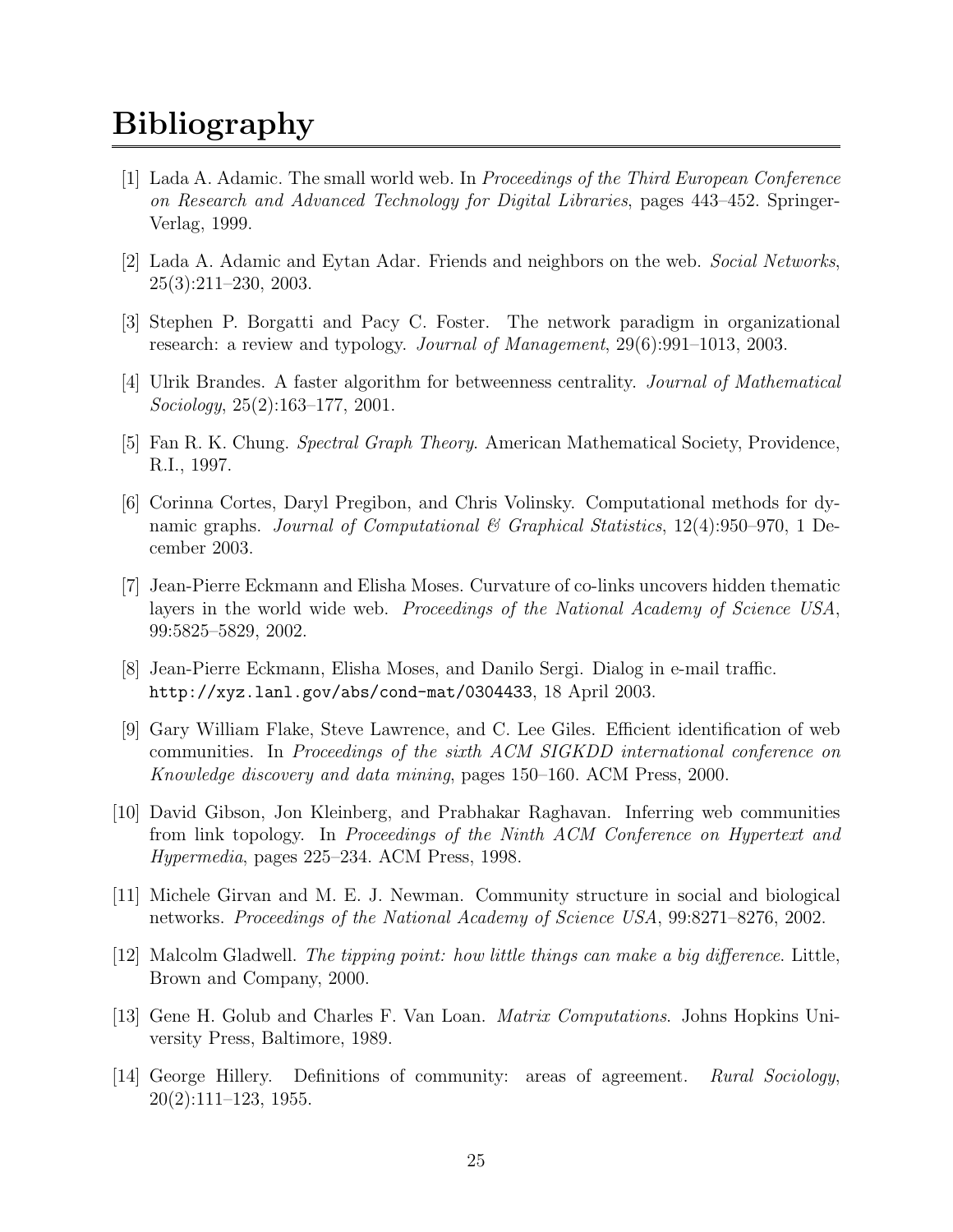## **Bibliography**

- [1] Lada A. Adamic. The small world web. In Proceedings of the Third European Conference on Research and Advanced Technology for Digital Libraries, pages 443–452. Springer-Verlag, 1999.
- [2] Lada A. Adamic and Eytan Adar. Friends and neighbors on the web. Social Networks, 25(3):211–230, 2003.
- [3] Stephen P. Borgatti and Pacy C. Foster. The network paradigm in organizational research: a review and typology. Journal of Management, 29(6):991-1013, 2003.
- [4] Ulrik Brandes. A faster algorithm for betweenness centrality. Journal of Mathematical Sociology, 25(2):163–177, 2001.
- [5] Fan R. K. Chung. Spectral Graph Theory. American Mathematical Society, Providence, R.I., 1997.
- [6] Corinna Cortes, Daryl Pregibon, and Chris Volinsky. Computational methods for dynamic graphs. Journal of Computational & Graphical Statistics,  $12(4)$ :950–970, 1 December 2003.
- [7] Jean-Pierre Eckmann and Elisha Moses. Curvature of co-links uncovers hidden thematic layers in the world wide web. *Proceedings of the National Academy of Science USA*, 99:5825–5829, 2002.
- [8] Jean-Pierre Eckmann, Elisha Moses, and Danilo Sergi. Dialog in e-mail traffic. http://xyz.lanl.gov/abs/cond-mat/0304433, 18 April 2003.
- [9] Gary William Flake, Steve Lawrence, and C. Lee Giles. Efficient identification of web communities. In Proceedings of the sixth ACM SIGKDD international conference on Knowledge discovery and data mining, pages 150–160. ACM Press, 2000.
- [10] David Gibson, Jon Kleinberg, and Prabhakar Raghavan. Inferring web communities from link topology. In Proceedings of the Ninth ACM Conference on Hypertext and Hypermedia, pages 225–234. ACM Press, 1998.
- [11] Michele Girvan and M. E. J. Newman. Community structure in social and biological networks. Proceedings of the National Academy of Science USA, 99:8271–8276, 2002.
- $[12]$  Malcolm Gladwell. The tipping point: how little things can make a big difference. Little, Brown and Company, 2000.
- [13] Gene H. Golub and Charles F. Van Loan. Matrix Computations. Johns Hopkins University Press, Baltimore, 1989.
- [14] George Hillery. Definitions of community: areas of agreement. Rural Sociology, 20(2):111–123, 1955.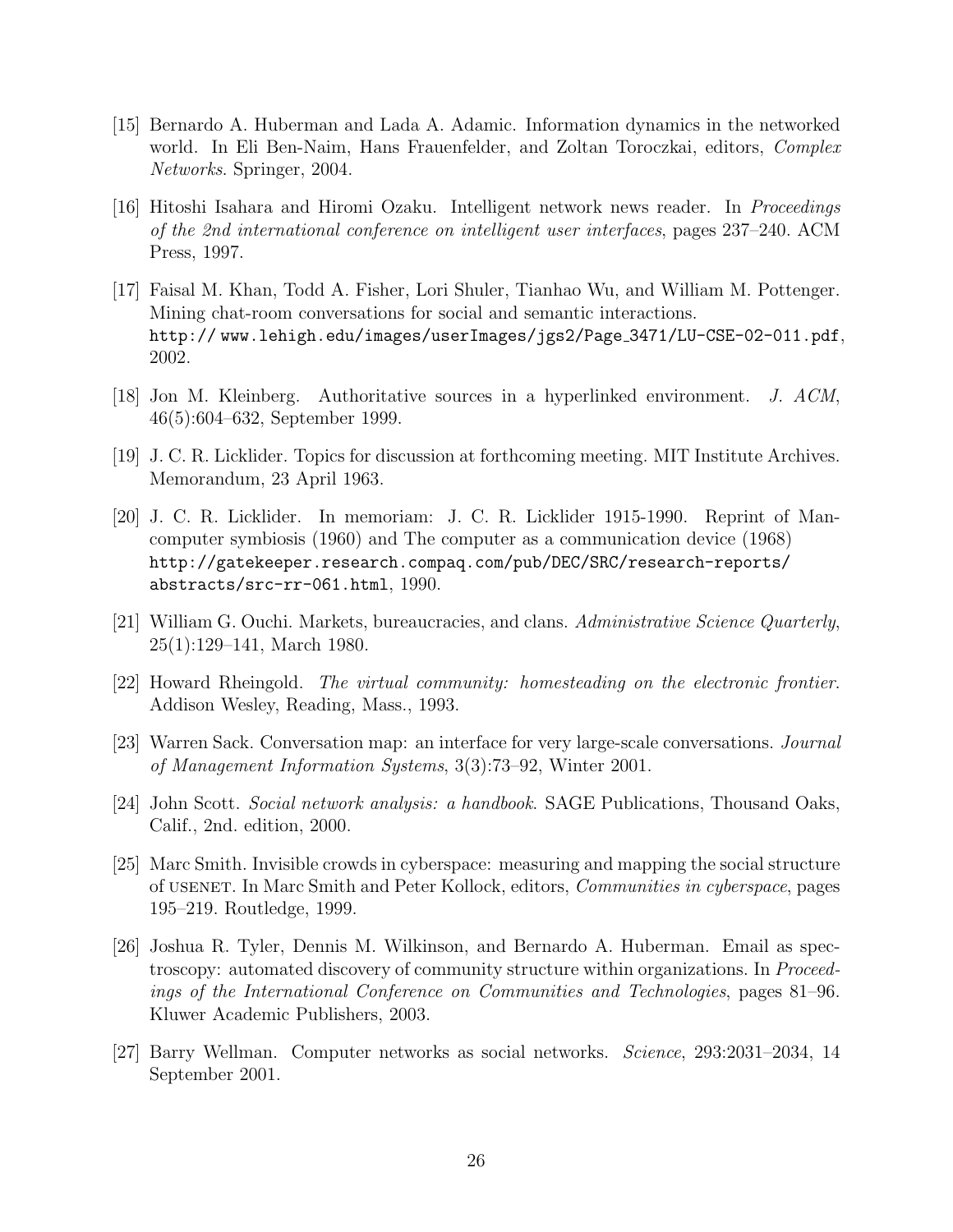- [15] Bernardo A. Huberman and Lada A. Adamic. Information dynamics in the networked world. In Eli Ben-Naim, Hans Frauenfelder, and Zoltan Toroczkai, editors, Complex Networks. Springer, 2004.
- [16] Hitoshi Isahara and Hiromi Ozaku. Intelligent network news reader. In Proceedings of the 2nd international conference on intelligent user interfaces, pages 237–240. ACM Press, 1997.
- [17] Faisal M. Khan, Todd A. Fisher, Lori Shuler, Tianhao Wu, and William M. Pottenger. Mining chat-room conversations for social and semantic interactions. http:// www.lehigh.edu/images/userImages/jgs2/Page 3471/LU-CSE-02-011.pdf, 2002.
- [18] Jon M. Kleinberg. Authoritative sources in a hyperlinked environment. J. ACM, 46(5):604–632, September 1999.
- [19] J. C. R. Licklider. Topics for discussion at forthcoming meeting. MIT Institute Archives. Memorandum, 23 April 1963.
- [20] J. C. R. Licklider. In memoriam: J. C. R. Licklider 1915-1990. Reprint of Mancomputer symbiosis (1960) and The computer as a communication device (1968) http://gatekeeper.research.compaq.com/pub/DEC/SRC/research-reports/ abstracts/src-rr-061.html, 1990.
- [21] William G. Ouchi. Markets, bureaucracies, and clans. Administrative Science Quarterly, 25(1):129–141, March 1980.
- [22] Howard Rheingold. The virtual community: homesteading on the electronic frontier. Addison Wesley, Reading, Mass., 1993.
- [23] Warren Sack. Conversation map: an interface for very large-scale conversations. Journal of Management Information Systems, 3(3):73–92, Winter 2001.
- [24] John Scott. Social network analysis: a handbook. SAGE Publications, Thousand Oaks, Calif., 2nd. edition, 2000.
- [25] Marc Smith. Invisible crowds in cyberspace: measuring and mapping the social structure of usenet. In Marc Smith and Peter Kollock, editors, Communities in cyberspace, pages 195–219. Routledge, 1999.
- [26] Joshua R. Tyler, Dennis M. Wilkinson, and Bernardo A. Huberman. Email as spectroscopy: automated discovery of community structure within organizations. In *Proceed*ings of the International Conference on Communities and Technologies, pages 81–96. Kluwer Academic Publishers, 2003.
- [27] Barry Wellman. Computer networks as social networks. Science, 293:2031–2034, 14 September 2001.